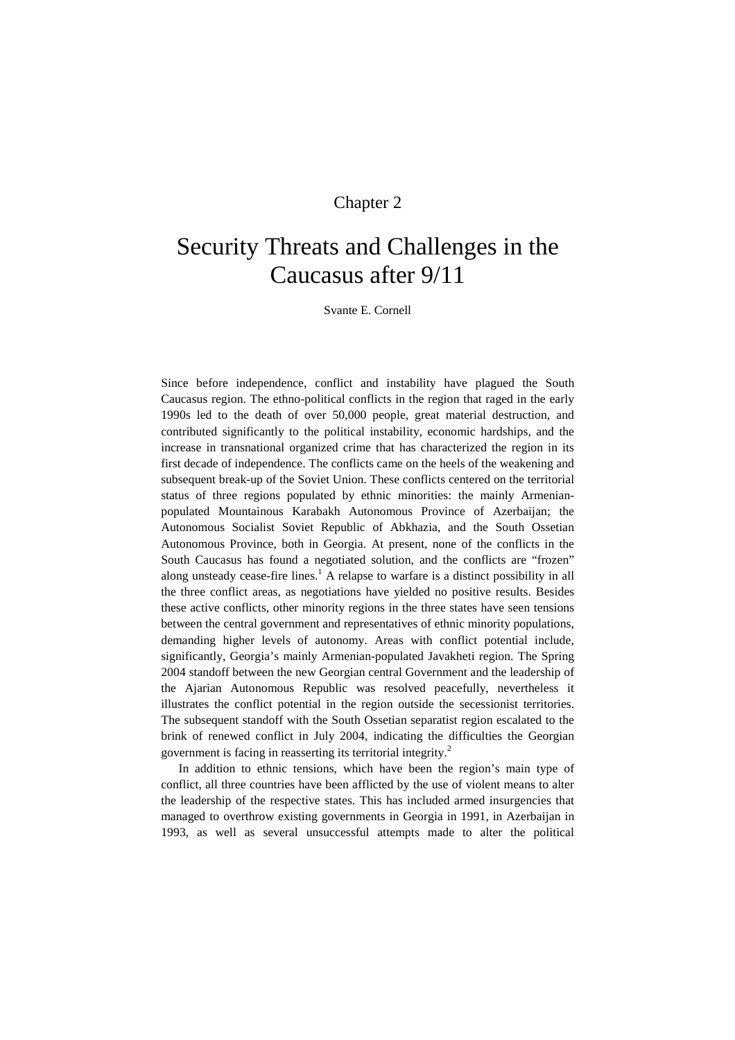# Chapter 2

# Security Threats and Challenges in the Caucasus after 9/11

Svante E. Cornell

Since before independence, conflict and instability have plagued the South Caucasus region. The ethno-political conflicts in the region that raged in the early 1990s led to the death of over 50,000 people, great material destruction, and contributed significantly to the political instability, economic hardships, and the increase in transnational organized crime that has characterized the region in its first decade of independence. The conflicts came on the heels of the weakening and subsequent break-up of the Soviet Union. These conflicts centered on the territorial status of three regions populated by ethnic minorities: the mainly Armenianpopulated Mountainous Karabakh Autonomous Province of Azerbaijan; the Autonomous Socialist Soviet Republic of Abkhazia, and the South Ossetian Autonomous Province, both in Georgia. At present, none of the conflicts in the South Caucasus has found a negotiated solution, and the conflicts are "frozen" along unsteady cease-fire lines.<sup>1</sup> A relapse to warfare is a distinct possibility in all the three conflict areas, as negotiations have yielded no positive results. Besides these active conflicts, other minority regions in the three states have seen tensions between the central government and representatives of ethnic minority populations, demanding higher levels of autonomy. Areas with conflict potential include, significantly, Georgia's mainly Armenian-populated Javakheti region. The Spring 2004 standoff between the new Georgian central Government and the leadership of the Ajarian Autonomous Republic was resolved peacefully, nevertheless it illustrates the conflict potential in the region outside the secessionist territories. The subsequent standoff with the South Ossetian separatist region escalated to the brink of renewed conflict in July 2004, indicating the difficulties the Georgian government is facing in reasserting its territorial integrity.<sup>2</sup>

In addition to ethnic tensions, which have been the region's main type of conflict, all three countries have been afflicted by the use of violent means to alter the leadership of the respective states. This has included armed insurgencies that managed to overthrow existing governments in Georgia in 1991, in Azerbaijan in 1993, as well as several unsuccessful attempts made to alter the political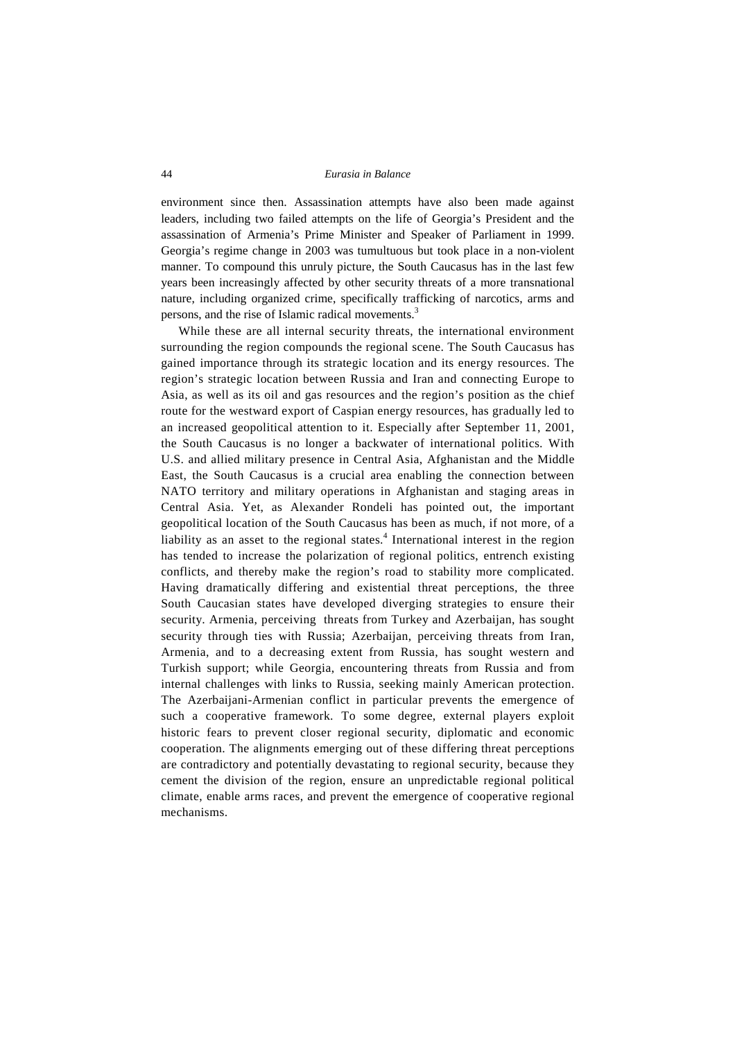environment since then. Assassination attempts have also been made against leaders, including two failed attempts on the life of Georgia's President and the assassination of Armenia's Prime Minister and Speaker of Parliament in 1999. Georgia's regime change in 2003 was tumultuous but took place in a non-violent manner. To compound this unruly picture, the South Caucasus has in the last few years been increasingly affected by other security threats of a more transnational nature, including organized crime, specifically trafficking of narcotics, arms and persons, and the rise of Islamic radical movements.<sup>3</sup>

While these are all internal security threats, the international environment surrounding the region compounds the regional scene. The South Caucasus has gained importance through its strategic location and its energy resources. The region's strategic location between Russia and Iran and connecting Europe to Asia, as well as its oil and gas resources and the region's position as the chief route for the westward export of Caspian energy resources, has gradually led to an increased geopolitical attention to it. Especially after September 11, 2001, the South Caucasus is no longer a backwater of international politics. With U.S. and allied military presence in Central Asia, Afghanistan and the Middle East, the South Caucasus is a crucial area enabling the connection between NATO territory and military operations in Afghanistan and staging areas in Central Asia. Yet, as Alexander Rondeli has pointed out, the important geopolitical location of the South Caucasus has been as much, if not more, of a liability as an asset to the regional states.<sup>4</sup> International interest in the region has tended to increase the polarization of regional politics, entrench existing conflicts, and thereby make the region's road to stability more complicated. Having dramatically differing and existential threat perceptions, the three South Caucasian states have developed diverging strategies to ensure their security. Armenia, perceiving threats from Turkey and Azerbaijan, has sought security through ties with Russia; Azerbaijan, perceiving threats from Iran, Armenia, and to a decreasing extent from Russia, has sought western and Turkish support; while Georgia, encountering threats from Russia and from internal challenges with links to Russia, seeking mainly American protection. The Azerbaijani-Armenian conflict in particular prevents the emergence of such a cooperative framework. To some degree, external players exploit historic fears to prevent closer regional security, diplomatic and economic cooperation. The alignments emerging out of these differing threat perceptions are contradictory and potentially devastating to regional security, because they cement the division of the region, ensure an unpredictable regional political climate, enable arms races, and prevent the emergence of cooperative regional mechanisms.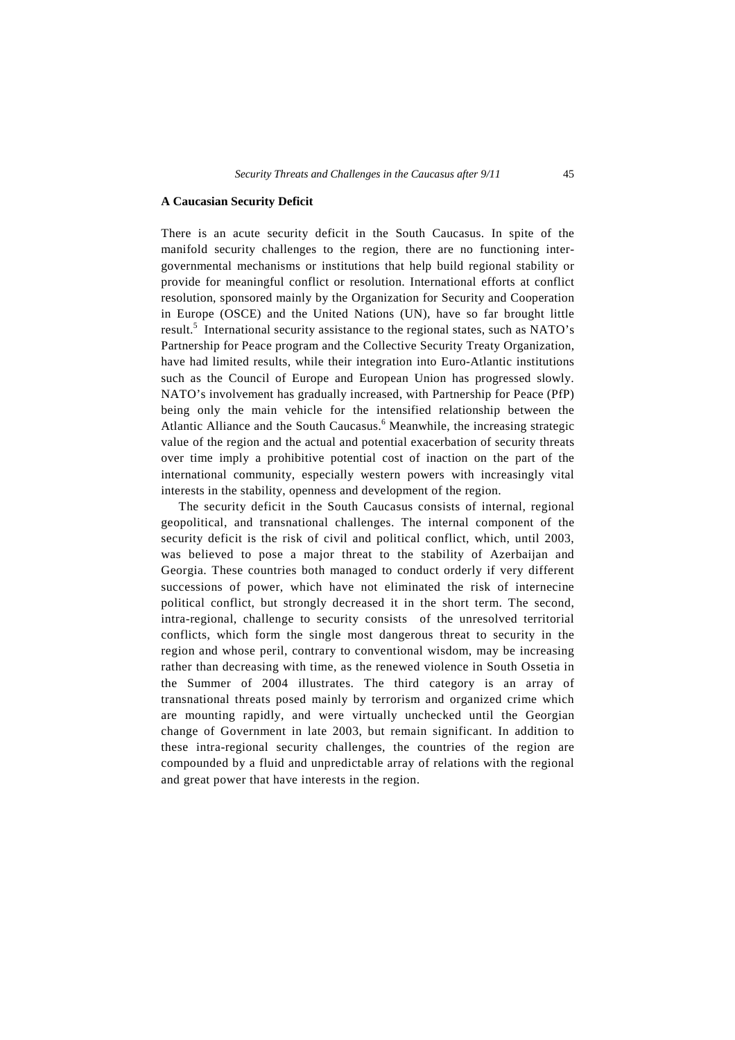# **A Caucasian Security Deficit**

There is an acute security deficit in the South Caucasus. In spite of the manifold security challenges to the region, there are no functioning intergovernmental mechanisms or institutions that help build regional stability or provide for meaningful conflict or resolution. International efforts at conflict resolution, sponsored mainly by the Organization for Security and Cooperation in Europe (OSCE) and the United Nations (UN), have so far brought little result.<sup>5</sup> International security assistance to the regional states, such as NATO's Partnership for Peace program and the Collective Security Treaty Organization, have had limited results, while their integration into Euro-Atlantic institutions such as the Council of Europe and European Union has progressed slowly. NATO's involvement has gradually increased, with Partnership for Peace (PfP) being only the main vehicle for the intensified relationship between the Atlantic Alliance and the South Caucasus.<sup>6</sup> Meanwhile, the increasing strategic value of the region and the actual and potential exacerbation of security threats over time imply a prohibitive potential cost of inaction on the part of the international community, especially western powers with increasingly vital interests in the stability, openness and development of the region.

The security deficit in the South Caucasus consists of internal, regional geopolitical, and transnational challenges. The internal component of the security deficit is the risk of civil and political conflict, which, until 2003, was believed to pose a major threat to the stability of Azerbaijan and Georgia. These countries both managed to conduct orderly if very different successions of power, which have not eliminated the risk of internecine political conflict, but strongly decreased it in the short term. The second, intra-regional, challenge to security consists of the unresolved territorial conflicts, which form the single most dangerous threat to security in the region and whose peril, contrary to conventional wisdom, may be increasing rather than decreasing with time, as the renewed violence in South Ossetia in the Summer of 2004 illustrates. The third category is an array of transnational threats posed mainly by terrorism and organized crime which are mounting rapidly, and were virtually unchecked until the Georgian change of Government in late 2003, but remain significant. In addition to these intra-regional security challenges, the countries of the region are compounded by a fluid and unpredictable array of relations with the regional and great power that have interests in the region.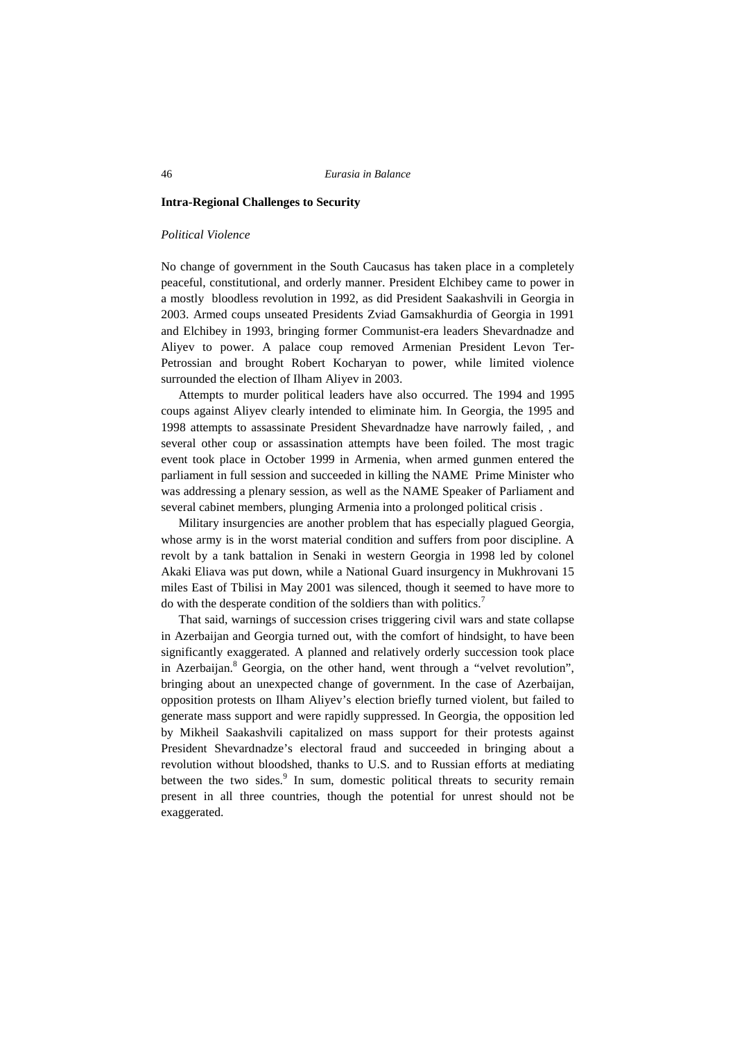#### **Intra-Regional Challenges to Security**

#### *Political Violence*

No change of government in the South Caucasus has taken place in a completely peaceful, constitutional, and orderly manner. President Elchibey came to power in a mostly bloodless revolution in 1992, as did President Saakashvili in Georgia in 2003. Armed coups unseated Presidents Zviad Gamsakhurdia of Georgia in 1991 and Elchibey in 1993, bringing former Communist-era leaders Shevardnadze and Aliyev to power. A palace coup removed Armenian President Levon Ter-Petrossian and brought Robert Kocharyan to power, while limited violence surrounded the election of Ilham Aliyev in 2003.

Attempts to murder political leaders have also occurred. The 1994 and 1995 coups against Aliyev clearly intended to eliminate him. In Georgia, the 1995 and 1998 attempts to assassinate President Shevardnadze have narrowly failed, , and several other coup or assassination attempts have been foiled. The most tragic event took place in October 1999 in Armenia, when armed gunmen entered the parliament in full session and succeeded in killing the NAME Prime Minister who was addressing a plenary session, as well as the NAME Speaker of Parliament and several cabinet members, plunging Armenia into a prolonged political crisis .

Military insurgencies are another problem that has especially plagued Georgia, whose army is in the worst material condition and suffers from poor discipline. A revolt by a tank battalion in Senaki in western Georgia in 1998 led by colonel Akaki Eliava was put down, while a National Guard insurgency in Mukhrovani 15 miles East of Tbilisi in May 2001 was silenced, though it seemed to have more to do with the desperate condition of the soldiers than with politics.<sup>7</sup>

That said, warnings of succession crises triggering civil wars and state collapse in Azerbaijan and Georgia turned out, with the comfort of hindsight, to have been significantly exaggerated. A planned and relatively orderly succession took place in Azerbaijan. $8$  Georgia, on the other hand, went through a "velvet revolution", bringing about an unexpected change of government. In the case of Azerbaijan, opposition protests on Ilham Aliyev's election briefly turned violent, but failed to generate mass support and were rapidly suppressed. In Georgia, the opposition led by Mikheil Saakashvili capitalized on mass support for their protests against President Shevardnadze's electoral fraud and succeeded in bringing about a revolution without bloodshed, thanks to U.S. and to Russian efforts at mediating between the two sides.<sup>9</sup> In sum, domestic political threats to security remain present in all three countries, though the potential for unrest should not be exaggerated.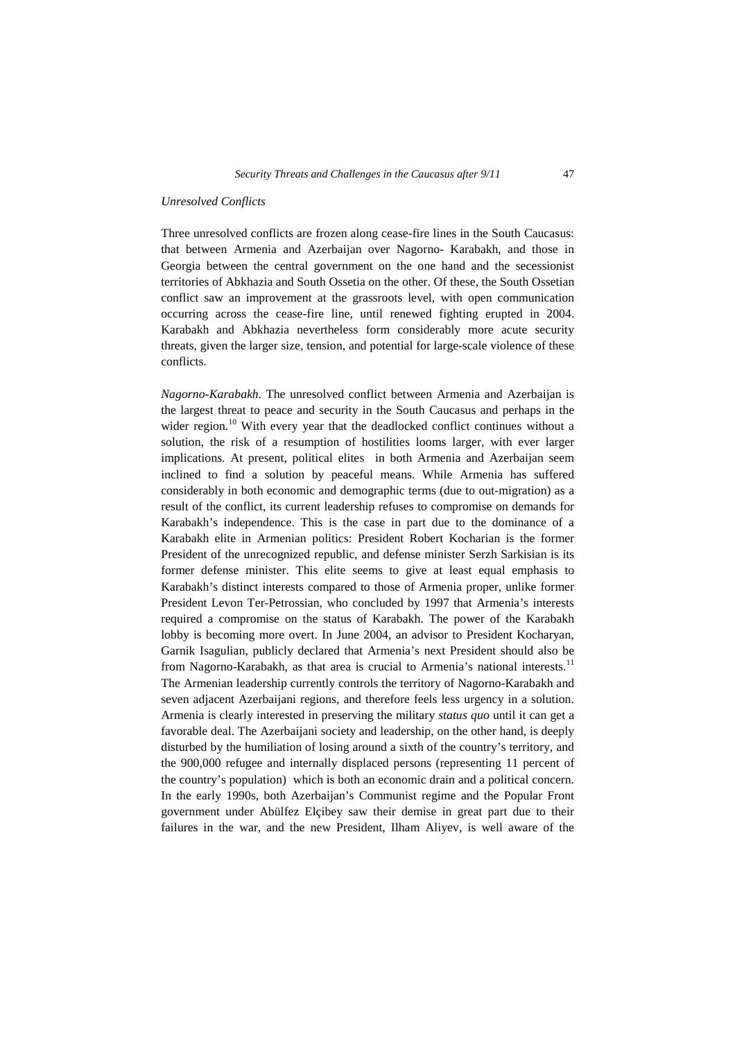#### *Unresolved Conflicts*

Three unresolved conflicts are frozen along cease-fire lines in the South Caucasus: that between Armenia and Azerbaijan over Nagorno- Karabakh, and those in Georgia between the central government on the one hand and the secessionist territories of Abkhazia and South Ossetia on the other. Of these, the South Ossetian conflict saw an improvement at the grassroots level, with open communication occurring across the cease-fire line, until renewed fighting erupted in 2004. Karabakh and Abkhazia nevertheless form considerably more acute security threats, given the larger size, tension, and potential for large-scale violence of these conflicts.

*Nagorno-Karabakh*. The unresolved conflict between Armenia and Azerbaijan is the largest threat to peace and security in the South Caucasus and perhaps in the wider region.<sup>10</sup> With every year that the deadlocked conflict continues without a solution, the risk of a resumption of hostilities looms larger, with ever larger implications. At present, political elites in both Armenia and Azerbaijan seem inclined to find a solution by peaceful means. While Armenia has suffered considerably in both economic and demographic terms (due to out-migration) as a result of the conflict, its current leadership refuses to compromise on demands for Karabakh's independence. This is the case in part due to the dominance of a Karabakh elite in Armenian politics: President Robert Kocharian is the former President of the unrecognized republic, and defense minister Serzh Sarkisian is its former defense minister. This elite seems to give at least equal emphasis to Karabakh's distinct interests compared to those of Armenia proper, unlike former President Levon Ter-Petrossian, who concluded by 1997 that Armenia's interests required a compromise on the status of Karabakh. The power of the Karabakh lobby is becoming more overt. In June 2004, an advisor to President Kocharyan, Garnik Isagulian, publicly declared that Armenia's next President should also be from Nagorno-Karabakh, as that area is crucial to Armenia's national interests.<sup>11</sup> The Armenian leadership currently controls the territory of Nagorno-Karabakh and seven adjacent Azerbaijani regions, and therefore feels less urgency in a solution. Armenia is clearly interested in preserving the military *status quo* until it can get a favorable deal. The Azerbaijani society and leadership, on the other hand, is deeply disturbed by the humiliation of losing around a sixth of the country's territory, and the 900,000 refugee and internally displaced persons (representing 11 percent of the country's population) which is both an economic drain and a political concern. In the early 1990s, both Azerbaijan's Communist regime and the Popular Front government under Abülfez Elçibey saw their demise in great part due to their failures in the war, and the new President, Ilham Aliyev, is well aware of the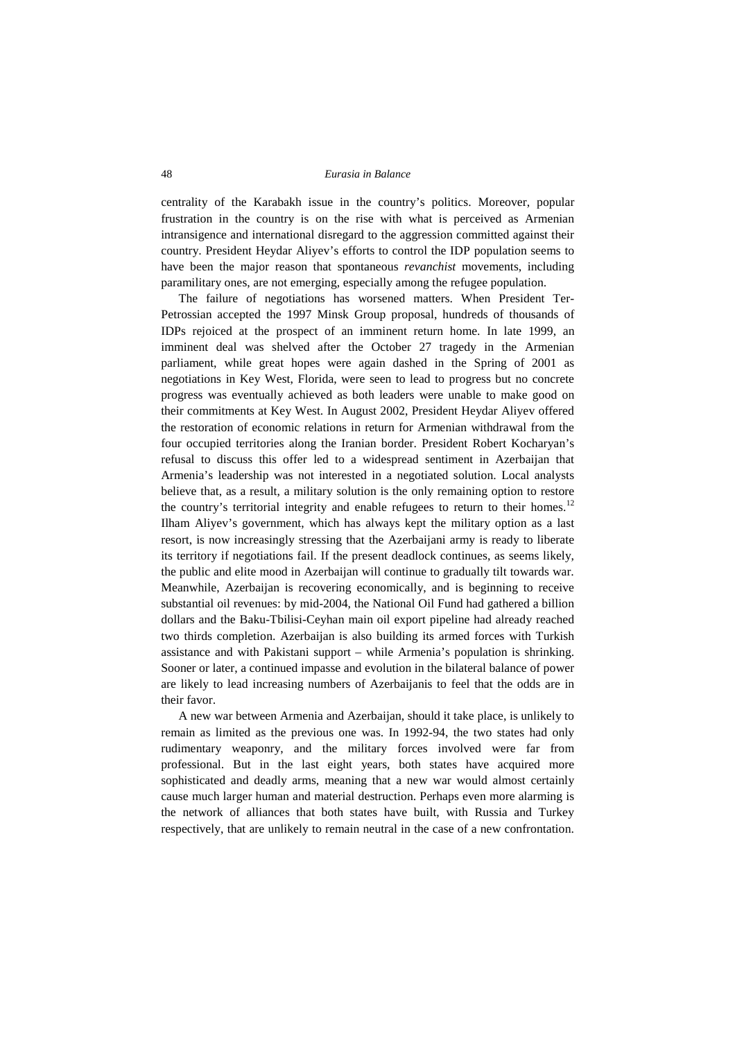centrality of the Karabakh issue in the country's politics. Moreover, popular frustration in the country is on the rise with what is perceived as Armenian intransigence and international disregard to the aggression committed against their country. President Heydar Aliyev's efforts to control the IDP population seems to have been the major reason that spontaneous *revanchist* movements, including paramilitary ones, are not emerging, especially among the refugee population.

The failure of negotiations has worsened matters. When President Ter-Petrossian accepted the 1997 Minsk Group proposal, hundreds of thousands of IDPs rejoiced at the prospect of an imminent return home. In late 1999, an imminent deal was shelved after the October 27 tragedy in the Armenian parliament, while great hopes were again dashed in the Spring of 2001 as negotiations in Key West, Florida, were seen to lead to progress but no concrete progress was eventually achieved as both leaders were unable to make good on their commitments at Key West. In August 2002, President Heydar Aliyev offered the restoration of economic relations in return for Armenian withdrawal from the four occupied territories along the Iranian border. President Robert Kocharyan's refusal to discuss this offer led to a widespread sentiment in Azerbaijan that Armenia's leadership was not interested in a negotiated solution. Local analysts believe that, as a result, a military solution is the only remaining option to restore the country's territorial integrity and enable refugees to return to their homes.<sup>12</sup> Ilham Aliyev's government, which has always kept the military option as a last resort, is now increasingly stressing that the Azerbaijani army is ready to liberate its territory if negotiations fail. If the present deadlock continues, as seems likely, the public and elite mood in Azerbaijan will continue to gradually tilt towards war. Meanwhile, Azerbaijan is recovering economically, and is beginning to receive substantial oil revenues: by mid-2004, the National Oil Fund had gathered a billion dollars and the Baku-Tbilisi-Ceyhan main oil export pipeline had already reached two thirds completion. Azerbaijan is also building its armed forces with Turkish assistance and with Pakistani support – while Armenia's population is shrinking. Sooner or later, a continued impasse and evolution in the bilateral balance of power are likely to lead increasing numbers of Azerbaijanis to feel that the odds are in their favor.

A new war between Armenia and Azerbaijan, should it take place, is unlikely to remain as limited as the previous one was. In 1992-94, the two states had only rudimentary weaponry, and the military forces involved were far from professional. But in the last eight years, both states have acquired more sophisticated and deadly arms, meaning that a new war would almost certainly cause much larger human and material destruction. Perhaps even more alarming is the network of alliances that both states have built, with Russia and Turkey respectively, that are unlikely to remain neutral in the case of a new confrontation.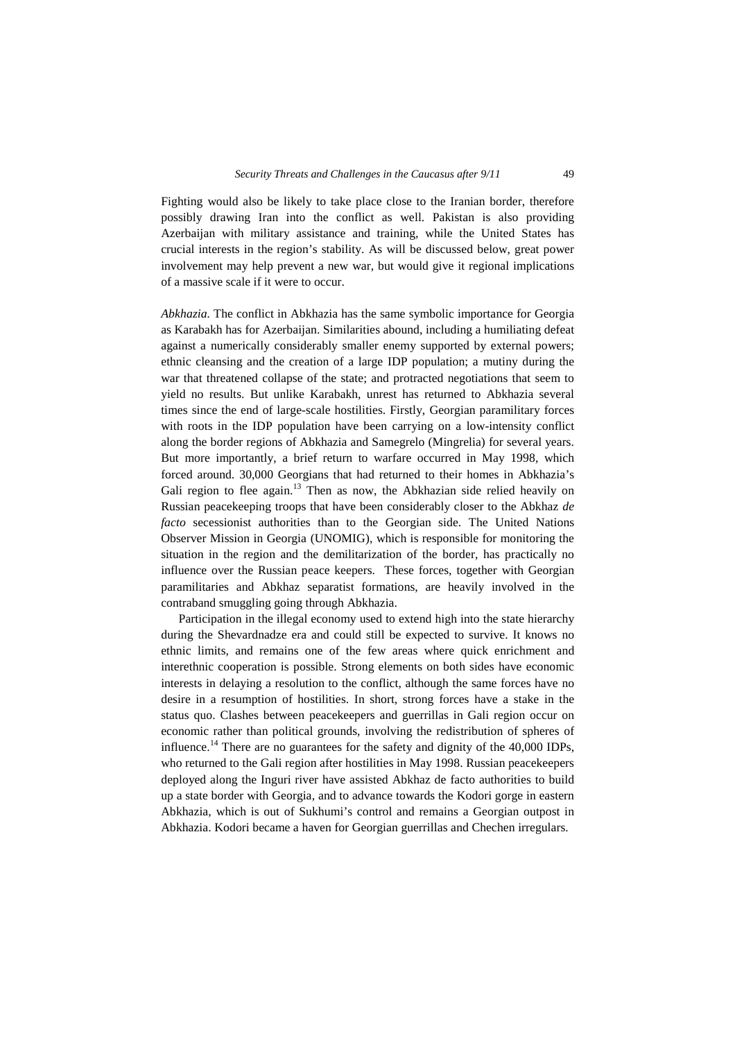Fighting would also be likely to take place close to the Iranian border, therefore possibly drawing Iran into the conflict as well. Pakistan is also providing Azerbaijan with military assistance and training, while the United States has crucial interests in the region's stability. As will be discussed below, great power involvement may help prevent a new war, but would give it regional implications of a massive scale if it were to occur.

*Abkhazia.* The conflict in Abkhazia has the same symbolic importance for Georgia as Karabakh has for Azerbaijan. Similarities abound, including a humiliating defeat against a numerically considerably smaller enemy supported by external powers; ethnic cleansing and the creation of a large IDP population; a mutiny during the war that threatened collapse of the state; and protracted negotiations that seem to yield no results. But unlike Karabakh, unrest has returned to Abkhazia several times since the end of large-scale hostilities. Firstly, Georgian paramilitary forces with roots in the IDP population have been carrying on a low-intensity conflict along the border regions of Abkhazia and Samegrelo (Mingrelia) for several years. But more importantly, a brief return to warfare occurred in May 1998, which forced around. 30,000 Georgians that had returned to their homes in Abkhazia's Gali region to flee again.<sup>13</sup> Then as now, the Abkhazian side relied heavily on Russian peacekeeping troops that have been considerably closer to the Abkhaz *de facto* secessionist authorities than to the Georgian side. The United Nations Observer Mission in Georgia (UNOMIG), which is responsible for monitoring the situation in the region and the demilitarization of the border, has practically no influence over the Russian peace keepers. These forces, together with Georgian paramilitaries and Abkhaz separatist formations, are heavily involved in the contraband smuggling going through Abkhazia.

Participation in the illegal economy used to extend high into the state hierarchy during the Shevardnadze era and could still be expected to survive. It knows no ethnic limits, and remains one of the few areas where quick enrichment and interethnic cooperation is possible. Strong elements on both sides have economic interests in delaying a resolution to the conflict, although the same forces have no desire in a resumption of hostilities. In short, strong forces have a stake in the status quo. Clashes between peacekeepers and guerrillas in Gali region occur on economic rather than political grounds, involving the redistribution of spheres of influence.<sup>14</sup> There are no guarantees for the safety and dignity of the  $40,000$  IDPs, who returned to the Gali region after hostilities in May 1998. Russian peacekeepers deployed along the Inguri river have assisted Abkhaz de facto authorities to build up a state border with Georgia, and to advance towards the Kodori gorge in eastern Abkhazia, which is out of Sukhumi's control and remains a Georgian outpost in Abkhazia. Kodori became a haven for Georgian guerrillas and Chechen irregulars.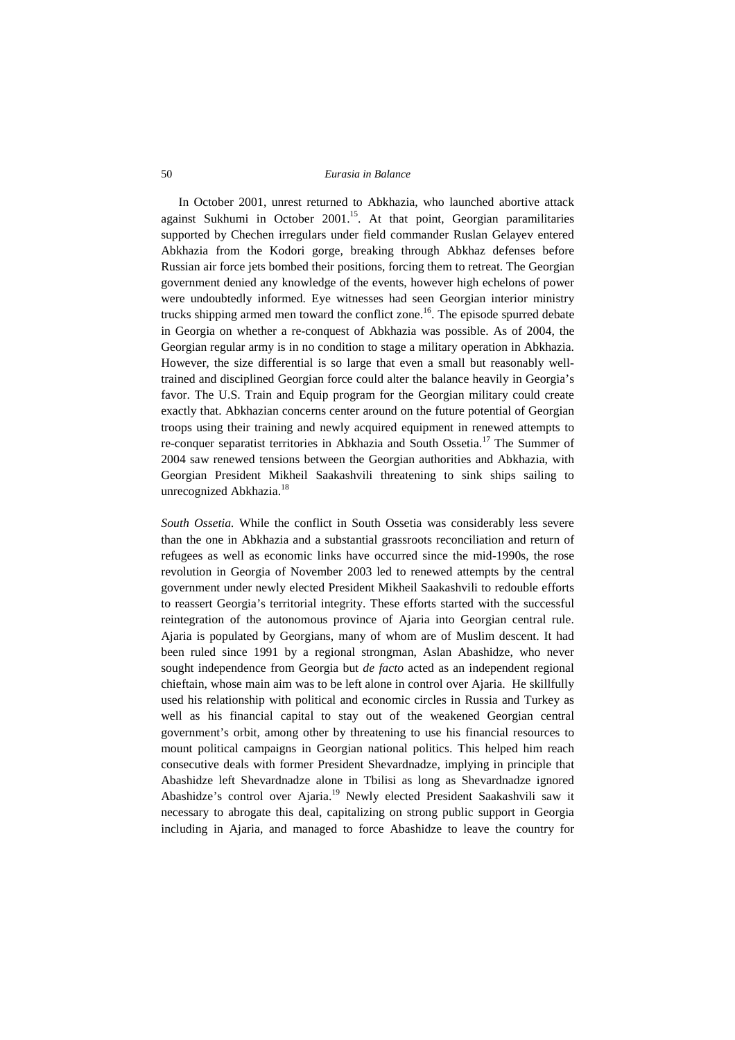In October 2001, unrest returned to Abkhazia, who launched abortive attack against Sukhumi in October  $2001^{15}$ . At that point, Georgian paramilitaries supported by Chechen irregulars under field commander Ruslan Gelayev entered Abkhazia from the Kodori gorge, breaking through Abkhaz defenses before Russian air force jets bombed their positions, forcing them to retreat. The Georgian government denied any knowledge of the events, however high echelons of power were undoubtedly informed. Eye witnesses had seen Georgian interior ministry trucks shipping armed men toward the conflict zone.<sup>16</sup>. The episode spurred debate in Georgia on whether a re-conquest of Abkhazia was possible. As of 2004, the Georgian regular army is in no condition to stage a military operation in Abkhazia. However, the size differential is so large that even a small but reasonably welltrained and disciplined Georgian force could alter the balance heavily in Georgia's favor. The U.S. Train and Equip program for the Georgian military could create exactly that. Abkhazian concerns center around on the future potential of Georgian troops using their training and newly acquired equipment in renewed attempts to re-conquer separatist territories in Abkhazia and South Ossetia.<sup>17</sup> The Summer of 2004 saw renewed tensions between the Georgian authorities and Abkhazia, with Georgian President Mikheil Saakashvili threatening to sink ships sailing to unrecognized Abkhazia.<sup>18</sup>

*South Ossetia.* While the conflict in South Ossetia was considerably less severe than the one in Abkhazia and a substantial grassroots reconciliation and return of refugees as well as economic links have occurred since the mid-1990s, the rose revolution in Georgia of November 2003 led to renewed attempts by the central government under newly elected President Mikheil Saakashvili to redouble efforts to reassert Georgia's territorial integrity. These efforts started with the successful reintegration of the autonomous province of Ajaria into Georgian central rule. Ajaria is populated by Georgians, many of whom are of Muslim descent. It had been ruled since 1991 by a regional strongman, Aslan Abashidze, who never sought independence from Georgia but *de facto* acted as an independent regional chieftain, whose main aim was to be left alone in control over Ajaria. He skillfully used his relationship with political and economic circles in Russia and Turkey as well as his financial capital to stay out of the weakened Georgian central government's orbit, among other by threatening to use his financial resources to mount political campaigns in Georgian national politics. This helped him reach consecutive deals with former President Shevardnadze, implying in principle that Abashidze left Shevardnadze alone in Tbilisi as long as Shevardnadze ignored Abashidze's control over Ajaria.<sup>19</sup> Newly elected President Saakashvili saw it necessary to abrogate this deal, capitalizing on strong public support in Georgia including in Ajaria, and managed to force Abashidze to leave the country for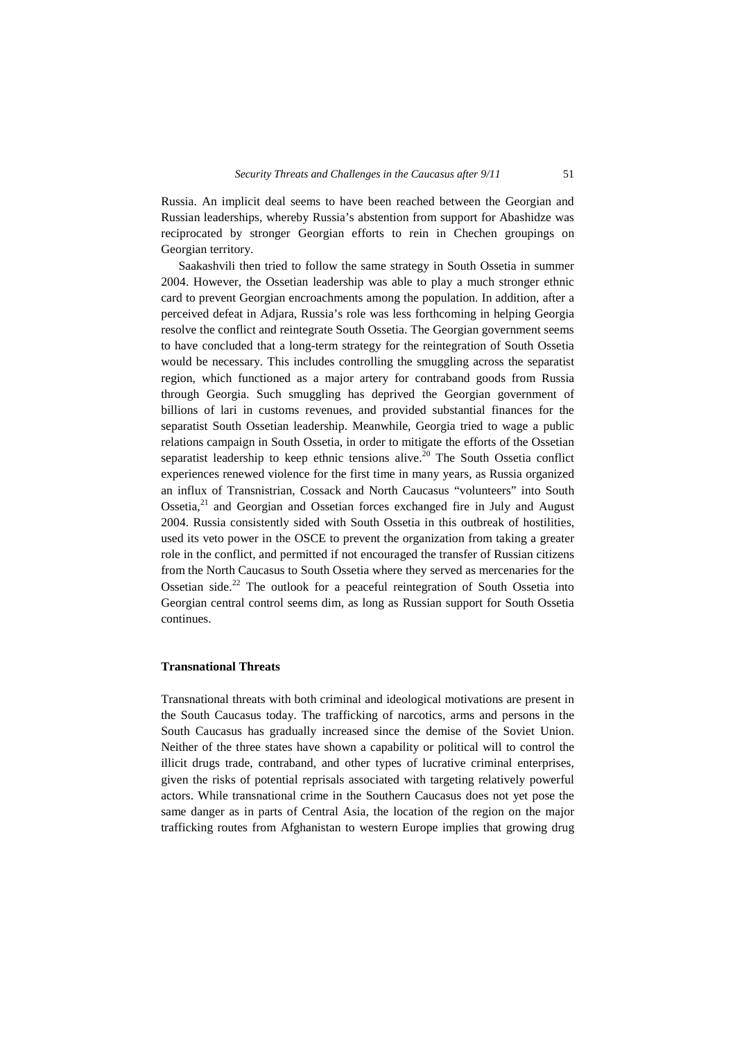Russia. An implicit deal seems to have been reached between the Georgian and Russian leaderships, whereby Russia's abstention from support for Abashidze was reciprocated by stronger Georgian efforts to rein in Chechen groupings on Georgian territory.

Saakashvili then tried to follow the same strategy in South Ossetia in summer 2004. However, the Ossetian leadership was able to play a much stronger ethnic card to prevent Georgian encroachments among the population. In addition, after a perceived defeat in Adjara, Russia's role was less forthcoming in helping Georgia resolve the conflict and reintegrate South Ossetia. The Georgian government seems to have concluded that a long-term strategy for the reintegration of South Ossetia would be necessary. This includes controlling the smuggling across the separatist region, which functioned as a major artery for contraband goods from Russia through Georgia. Such smuggling has deprived the Georgian government of billions of lari in customs revenues, and provided substantial finances for the separatist South Ossetian leadership. Meanwhile, Georgia tried to wage a public relations campaign in South Ossetia, in order to mitigate the efforts of the Ossetian separatist leadership to keep ethnic tensions alive.<sup>20</sup> The South Ossetia conflict experiences renewed violence for the first time in many years, as Russia organized an influx of Transnistrian, Cossack and North Caucasus "volunteers" into South Ossetia.<sup>21</sup> and Georgian and Ossetian forces exchanged fire in July and August 2004. Russia consistently sided with South Ossetia in this outbreak of hostilities, used its veto power in the OSCE to prevent the organization from taking a greater role in the conflict, and permitted if not encouraged the transfer of Russian citizens from the North Caucasus to South Ossetia where they served as mercenaries for the Ossetian side.<sup>22</sup> The outlook for a peaceful reintegration of South Ossetia into Georgian central control seems dim, as long as Russian support for South Ossetia continues.

# **Transnational Threats**

Transnational threats with both criminal and ideological motivations are present in the South Caucasus today. The trafficking of narcotics, arms and persons in the South Caucasus has gradually increased since the demise of the Soviet Union. Neither of the three states have shown a capability or political will to control the illicit drugs trade, contraband, and other types of lucrative criminal enterprises, given the risks of potential reprisals associated with targeting relatively powerful actors. While transnational crime in the Southern Caucasus does not yet pose the same danger as in parts of Central Asia, the location of the region on the major trafficking routes from Afghanistan to western Europe implies that growing drug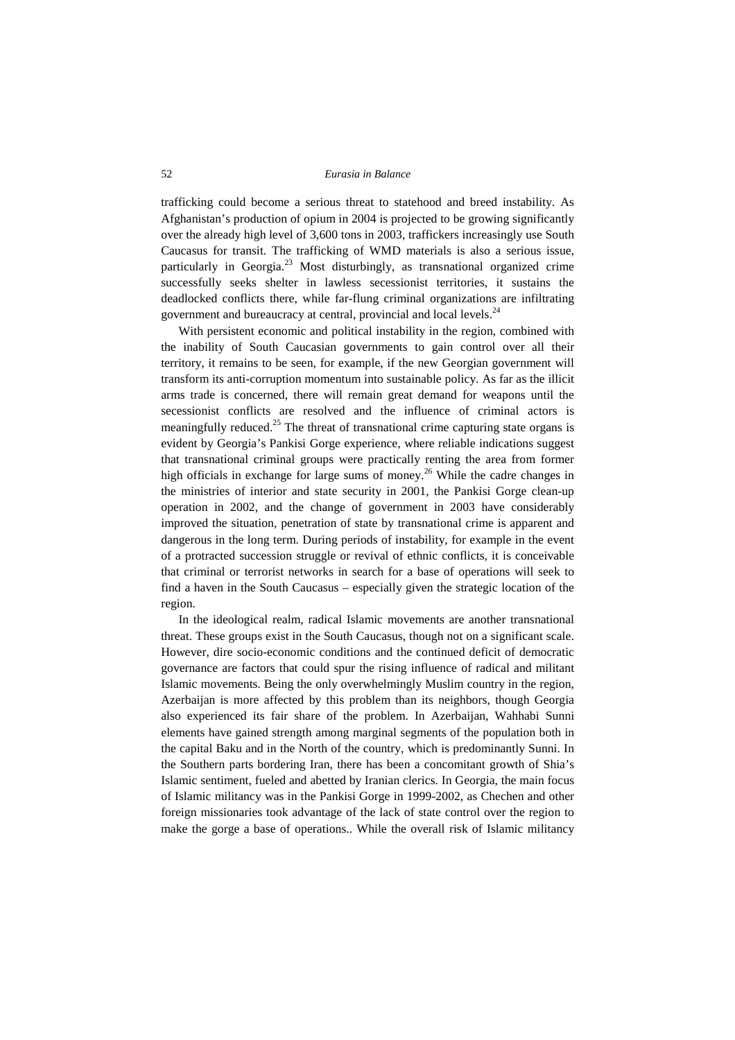trafficking could become a serious threat to statehood and breed instability. As Afghanistan's production of opium in 2004 is projected to be growing significantly over the already high level of 3,600 tons in 2003, traffickers increasingly use South Caucasus for transit. The trafficking of WMD materials is also a serious issue, particularly in Georgia.<sup>23</sup> Most disturbingly, as transnational organized crime successfully seeks shelter in lawless secessionist territories, it sustains the deadlocked conflicts there, while far-flung criminal organizations are infiltrating government and bureaucracy at central, provincial and local levels.<sup>24</sup>

With persistent economic and political instability in the region, combined with the inability of South Caucasian governments to gain control over all their territory, it remains to be seen, for example, if the new Georgian government will transform its anti-corruption momentum into sustainable policy. As far as the illicit arms trade is concerned, there will remain great demand for weapons until the secessionist conflicts are resolved and the influence of criminal actors is meaningfully reduced.<sup>25</sup> The threat of transnational crime capturing state organs is evident by Georgia's Pankisi Gorge experience, where reliable indications suggest that transnational criminal groups were practically renting the area from former high officials in exchange for large sums of money.<sup>26</sup> While the cadre changes in the ministries of interior and state security in 2001, the Pankisi Gorge clean-up operation in 2002, and the change of government in 2003 have considerably improved the situation, penetration of state by transnational crime is apparent and dangerous in the long term. During periods of instability, for example in the event of a protracted succession struggle or revival of ethnic conflicts, it is conceivable that criminal or terrorist networks in search for a base of operations will seek to find a haven in the South Caucasus – especially given the strategic location of the region.

In the ideological realm, radical Islamic movements are another transnational threat. These groups exist in the South Caucasus, though not on a significant scale. However, dire socio-economic conditions and the continued deficit of democratic governance are factors that could spur the rising influence of radical and militant Islamic movements. Being the only overwhelmingly Muslim country in the region, Azerbaijan is more affected by this problem than its neighbors, though Georgia also experienced its fair share of the problem. In Azerbaijan, Wahhabi Sunni elements have gained strength among marginal segments of the population both in the capital Baku and in the North of the country, which is predominantly Sunni. In the Southern parts bordering Iran, there has been a concomitant growth of Shia's Islamic sentiment, fueled and abetted by Iranian clerics. In Georgia, the main focus of Islamic militancy was in the Pankisi Gorge in 1999-2002, as Chechen and other foreign missionaries took advantage of the lack of state control over the region to make the gorge a base of operations.. While the overall risk of Islamic militancy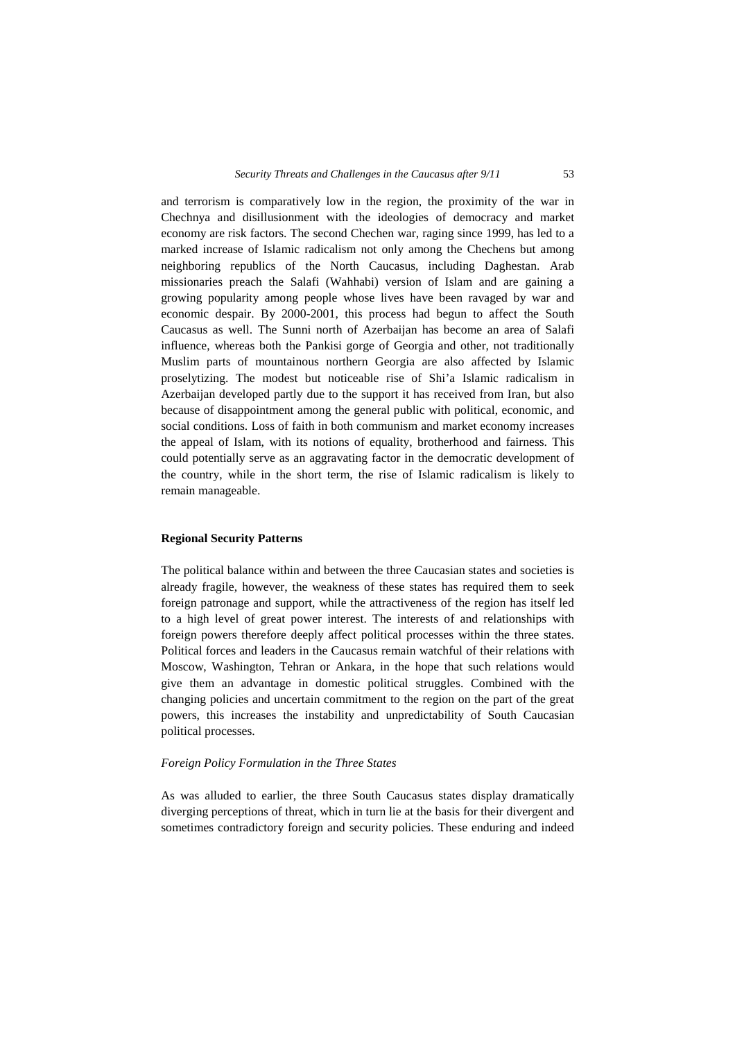and terrorism is comparatively low in the region, the proximity of the war in Chechnya and disillusionment with the ideologies of democracy and market economy are risk factors. The second Chechen war, raging since 1999, has led to a marked increase of Islamic radicalism not only among the Chechens but among neighboring republics of the North Caucasus, including Daghestan. Arab missionaries preach the Salafi (Wahhabi) version of Islam and are gaining a growing popularity among people whose lives have been ravaged by war and economic despair. By 2000-2001, this process had begun to affect the South Caucasus as well. The Sunni north of Azerbaijan has become an area of Salafi influence, whereas both the Pankisi gorge of Georgia and other, not traditionally Muslim parts of mountainous northern Georgia are also affected by Islamic proselytizing. The modest but noticeable rise of Shi'a Islamic radicalism in Azerbaijan developed partly due to the support it has received from Iran, but also because of disappointment among the general public with political, economic, and social conditions. Loss of faith in both communism and market economy increases the appeal of Islam, with its notions of equality, brotherhood and fairness. This could potentially serve as an aggravating factor in the democratic development of the country, while in the short term, the rise of Islamic radicalism is likely to remain manageable.

#### **Regional Security Patterns**

The political balance within and between the three Caucasian states and societies is already fragile, however, the weakness of these states has required them to seek foreign patronage and support, while the attractiveness of the region has itself led to a high level of great power interest. The interests of and relationships with foreign powers therefore deeply affect political processes within the three states. Political forces and leaders in the Caucasus remain watchful of their relations with Moscow, Washington, Tehran or Ankara, in the hope that such relations would give them an advantage in domestic political struggles. Combined with the changing policies and uncertain commitment to the region on the part of the great powers, this increases the instability and unpredictability of South Caucasian political processes.

# *Foreign Policy Formulation in the Three States*

As was alluded to earlier, the three South Caucasus states display dramatically diverging perceptions of threat, which in turn lie at the basis for their divergent and sometimes contradictory foreign and security policies. These enduring and indeed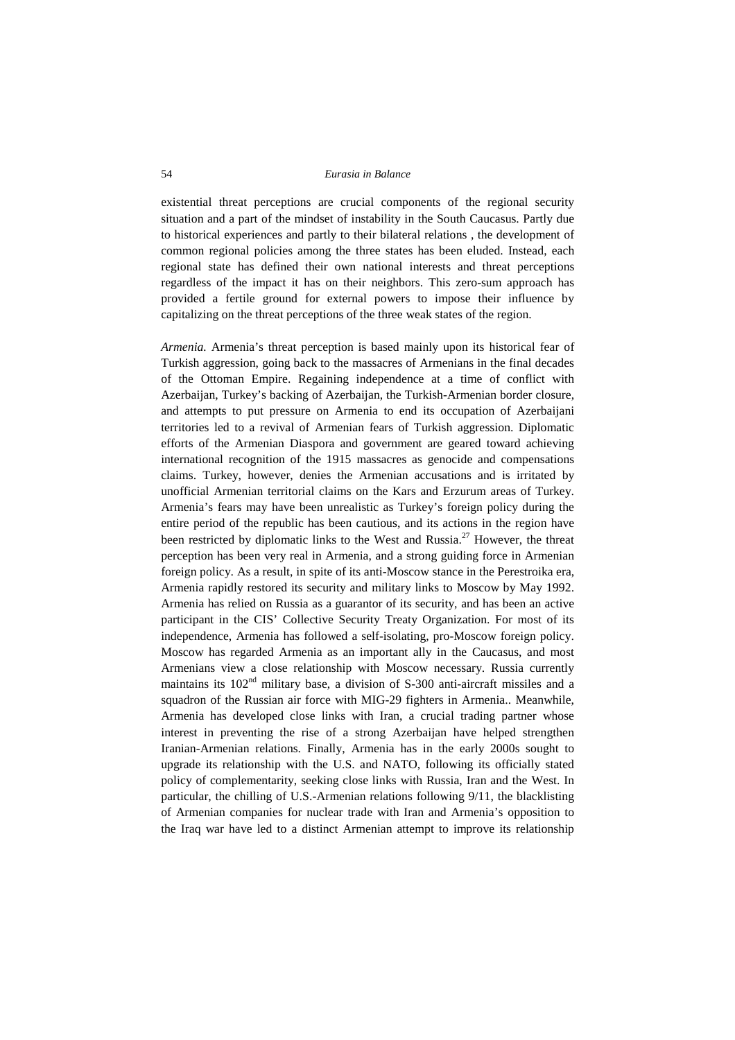existential threat perceptions are crucial components of the regional security situation and a part of the mindset of instability in the South Caucasus. Partly due to historical experiences and partly to their bilateral relations , the development of common regional policies among the three states has been eluded. Instead, each regional state has defined their own national interests and threat perceptions regardless of the impact it has on their neighbors. This zero-sum approach has provided a fertile ground for external powers to impose their influence by capitalizing on the threat perceptions of the three weak states of the region.

*Armenia.* Armenia's threat perception is based mainly upon its historical fear of Turkish aggression, going back to the massacres of Armenians in the final decades of the Ottoman Empire. Regaining independence at a time of conflict with Azerbaijan, Turkey's backing of Azerbaijan, the Turkish-Armenian border closure, and attempts to put pressure on Armenia to end its occupation of Azerbaijani territories led to a revival of Armenian fears of Turkish aggression. Diplomatic efforts of the Armenian Diaspora and government are geared toward achieving international recognition of the 1915 massacres as genocide and compensations claims. Turkey, however, denies the Armenian accusations and is irritated by unofficial Armenian territorial claims on the Kars and Erzurum areas of Turkey. Armenia's fears may have been unrealistic as Turkey's foreign policy during the entire period of the republic has been cautious, and its actions in the region have been restricted by diplomatic links to the West and Russia.<sup>27</sup> However, the threat perception has been very real in Armenia, and a strong guiding force in Armenian foreign policy. As a result, in spite of its anti-Moscow stance in the Perestroika era, Armenia rapidly restored its security and military links to Moscow by May 1992. Armenia has relied on Russia as a guarantor of its security, and has been an active participant in the CIS' Collective Security Treaty Organization. For most of its independence, Armenia has followed a self-isolating, pro-Moscow foreign policy. Moscow has regarded Armenia as an important ally in the Caucasus, and most Armenians view a close relationship with Moscow necessary. Russia currently maintains its  $102<sup>nd</sup>$  military base, a division of S-300 anti-aircraft missiles and a squadron of the Russian air force with MIG-29 fighters in Armenia.. Meanwhile, Armenia has developed close links with Iran, a crucial trading partner whose interest in preventing the rise of a strong Azerbaijan have helped strengthen Iranian-Armenian relations. Finally, Armenia has in the early 2000s sought to upgrade its relationship with the U.S. and NATO, following its officially stated policy of complementarity, seeking close links with Russia, Iran and the West. In particular, the chilling of U.S.-Armenian relations following 9/11, the blacklisting of Armenian companies for nuclear trade with Iran and Armenia's opposition to the Iraq war have led to a distinct Armenian attempt to improve its relationship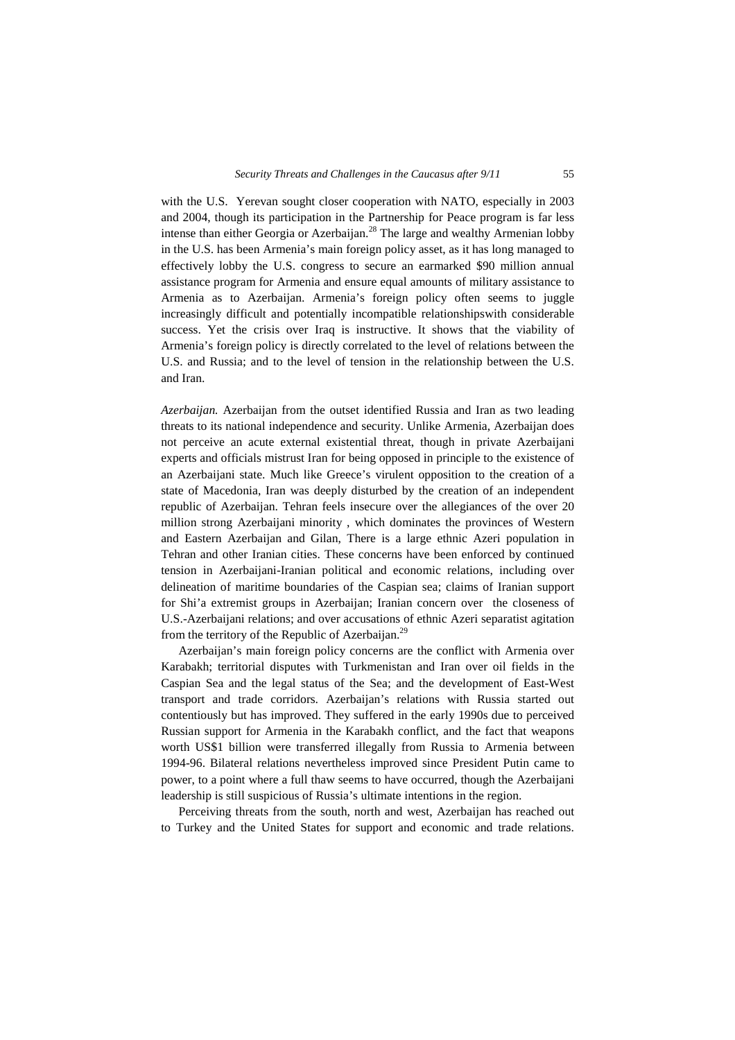with the U.S. Yerevan sought closer cooperation with NATO, especially in 2003 and 2004, though its participation in the Partnership for Peace program is far less intense than either Georgia or Azerbaijan.<sup>28</sup> The large and wealthy Armenian lobby in the U.S. has been Armenia's main foreign policy asset, as it has long managed to effectively lobby the U.S. congress to secure an earmarked \$90 million annual assistance program for Armenia and ensure equal amounts of military assistance to Armenia as to Azerbaijan. Armenia's foreign policy often seems to juggle increasingly difficult and potentially incompatible relationshipswith considerable success. Yet the crisis over Iraq is instructive. It shows that the viability of Armenia's foreign policy is directly correlated to the level of relations between the U.S. and Russia; and to the level of tension in the relationship between the U.S. and Iran.

*Azerbaijan.* Azerbaijan from the outset identified Russia and Iran as two leading threats to its national independence and security. Unlike Armenia, Azerbaijan does not perceive an acute external existential threat, though in private Azerbaijani experts and officials mistrust Iran for being opposed in principle to the existence of an Azerbaijani state. Much like Greece's virulent opposition to the creation of a state of Macedonia, Iran was deeply disturbed by the creation of an independent republic of Azerbaijan. Tehran feels insecure over the allegiances of the over 20 million strong Azerbaijani minority , which dominates the provinces of Western and Eastern Azerbaijan and Gilan, There is a large ethnic Azeri population in Tehran and other Iranian cities. These concerns have been enforced by continued tension in Azerbaijani-Iranian political and economic relations, including over delineation of maritime boundaries of the Caspian sea; claims of Iranian support for Shi'a extremist groups in Azerbaijan; Iranian concern over the closeness of U.S.-Azerbaijani relations; and over accusations of ethnic Azeri separatist agitation from the territory of the Republic of Azerbaijan.<sup>29</sup>

Azerbaijan's main foreign policy concerns are the conflict with Armenia over Karabakh; territorial disputes with Turkmenistan and Iran over oil fields in the Caspian Sea and the legal status of the Sea; and the development of East-West transport and trade corridors. Azerbaijan's relations with Russia started out contentiously but has improved. They suffered in the early 1990s due to perceived Russian support for Armenia in the Karabakh conflict, and the fact that weapons worth US\$1 billion were transferred illegally from Russia to Armenia between 1994-96. Bilateral relations nevertheless improved since President Putin came to power, to a point where a full thaw seems to have occurred, though the Azerbaijani leadership is still suspicious of Russia's ultimate intentions in the region.

Perceiving threats from the south, north and west, Azerbaijan has reached out to Turkey and the United States for support and economic and trade relations.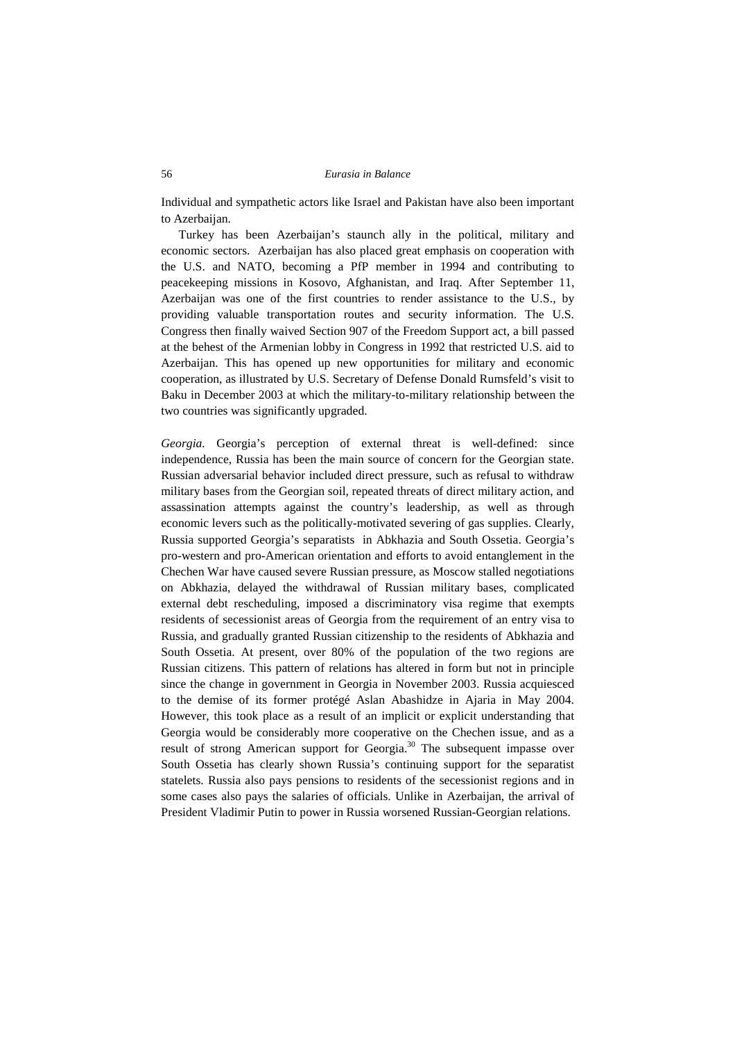Individual and sympathetic actors like Israel and Pakistan have also been important to Azerbaijan.

Turkey has been Azerbaijan's staunch ally in the political, military and economic sectors. Azerbaijan has also placed great emphasis on cooperation with the U.S. and NATO, becoming a PfP member in 1994 and contributing to peacekeeping missions in Kosovo, Afghanistan, and Iraq. After September 11, Azerbaijan was one of the first countries to render assistance to the U.S., by providing valuable transportation routes and security information. The U.S. Congress then finally waived Section 907 of the Freedom Support act, a bill passed at the behest of the Armenian lobby in Congress in 1992 that restricted U.S. aid to Azerbaijan. This has opened up new opportunities for military and economic cooperation, as illustrated by U.S. Secretary of Defense Donald Rumsfeld's visit to Baku in December 2003 at which the military-to-military relationship between the two countries was significantly upgraded.

*Georgia.* Georgia's perception of external threat is well-defined: since independence, Russia has been the main source of concern for the Georgian state. Russian adversarial behavior included direct pressure, such as refusal to withdraw military bases from the Georgian soil, repeated threats of direct military action, and assassination attempts against the country's leadership, as well as through economic levers such as the politically-motivated severing of gas supplies. Clearly, Russia supported Georgia's separatists in Abkhazia and South Ossetia. Georgia's pro-western and pro-American orientation and efforts to avoid entanglement in the Chechen War have caused severe Russian pressure, as Moscow stalled negotiations on Abkhazia, delayed the withdrawal of Russian military bases, complicated external debt rescheduling, imposed a discriminatory visa regime that exempts residents of secessionist areas of Georgia from the requirement of an entry visa to Russia, and gradually granted Russian citizenship to the residents of Abkhazia and South Ossetia. At present, over 80% of the population of the two regions are Russian citizens. This pattern of relations has altered in form but not in principle since the change in government in Georgia in November 2003. Russia acquiesced to the demise of its former protégé Aslan Abashidze in Ajaria in May 2004. However, this took place as a result of an implicit or explicit understanding that Georgia would be considerably more cooperative on the Chechen issue, and as a result of strong American support for Georgia.<sup>30</sup> The subsequent impasse over South Ossetia has clearly shown Russia's continuing support for the separatist statelets. Russia also pays pensions to residents of the secessionist regions and in some cases also pays the salaries of officials. Unlike in Azerbaijan, the arrival of President Vladimir Putin to power in Russia worsened Russian-Georgian relations.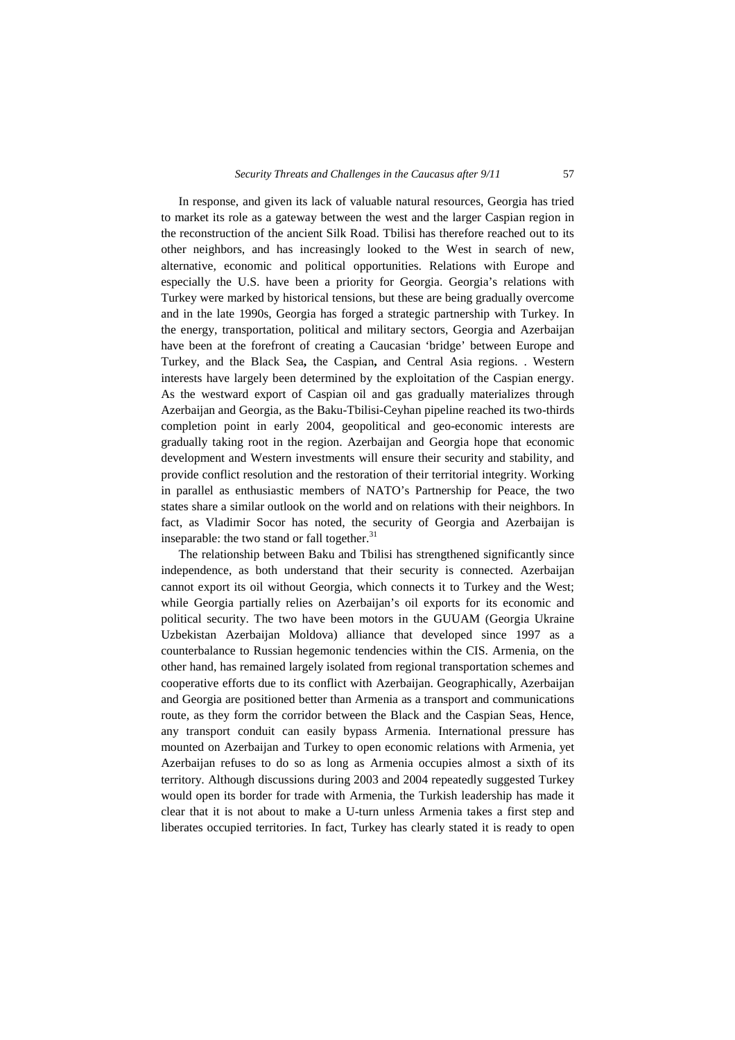In response, and given its lack of valuable natural resources, Georgia has tried to market its role as a gateway between the west and the larger Caspian region in the reconstruction of the ancient Silk Road. Tbilisi has therefore reached out to its other neighbors, and has increasingly looked to the West in search of new, alternative, economic and political opportunities. Relations with Europe and especially the U.S. have been a priority for Georgia. Georgia's relations with Turkey were marked by historical tensions, but these are being gradually overcome and in the late 1990s, Georgia has forged a strategic partnership with Turkey. In the energy, transportation, political and military sectors, Georgia and Azerbaijan have been at the forefront of creating a Caucasian 'bridge' between Europe and Turkey, and the Black Sea**,** the Caspian**,** and Central Asia regions. . Western interests have largely been determined by the exploitation of the Caspian energy. As the westward export of Caspian oil and gas gradually materializes through Azerbaijan and Georgia, as the Baku-Tbilisi-Ceyhan pipeline reached its two-thirds completion point in early 2004, geopolitical and geo-economic interests are gradually taking root in the region. Azerbaijan and Georgia hope that economic development and Western investments will ensure their security and stability, and provide conflict resolution and the restoration of their territorial integrity. Working in parallel as enthusiastic members of NATO's Partnership for Peace, the two states share a similar outlook on the world and on relations with their neighbors. In fact, as Vladimir Socor has noted, the security of Georgia and Azerbaijan is inseparable: the two stand or fall together. $31$ 

The relationship between Baku and Tbilisi has strengthened significantly since independence, as both understand that their security is connected. Azerbaijan cannot export its oil without Georgia, which connects it to Turkey and the West; while Georgia partially relies on Azerbaijan's oil exports for its economic and political security. The two have been motors in the GUUAM (Georgia Ukraine Uzbekistan Azerbaijan Moldova) alliance that developed since 1997 as a counterbalance to Russian hegemonic tendencies within the CIS. Armenia, on the other hand, has remained largely isolated from regional transportation schemes and cooperative efforts due to its conflict with Azerbaijan. Geographically, Azerbaijan and Georgia are positioned better than Armenia as a transport and communications route, as they form the corridor between the Black and the Caspian Seas, Hence, any transport conduit can easily bypass Armenia. International pressure has mounted on Azerbaijan and Turkey to open economic relations with Armenia, yet Azerbaijan refuses to do so as long as Armenia occupies almost a sixth of its territory. Although discussions during 2003 and 2004 repeatedly suggested Turkey would open its border for trade with Armenia, the Turkish leadership has made it clear that it is not about to make a U-turn unless Armenia takes a first step and liberates occupied territories. In fact, Turkey has clearly stated it is ready to open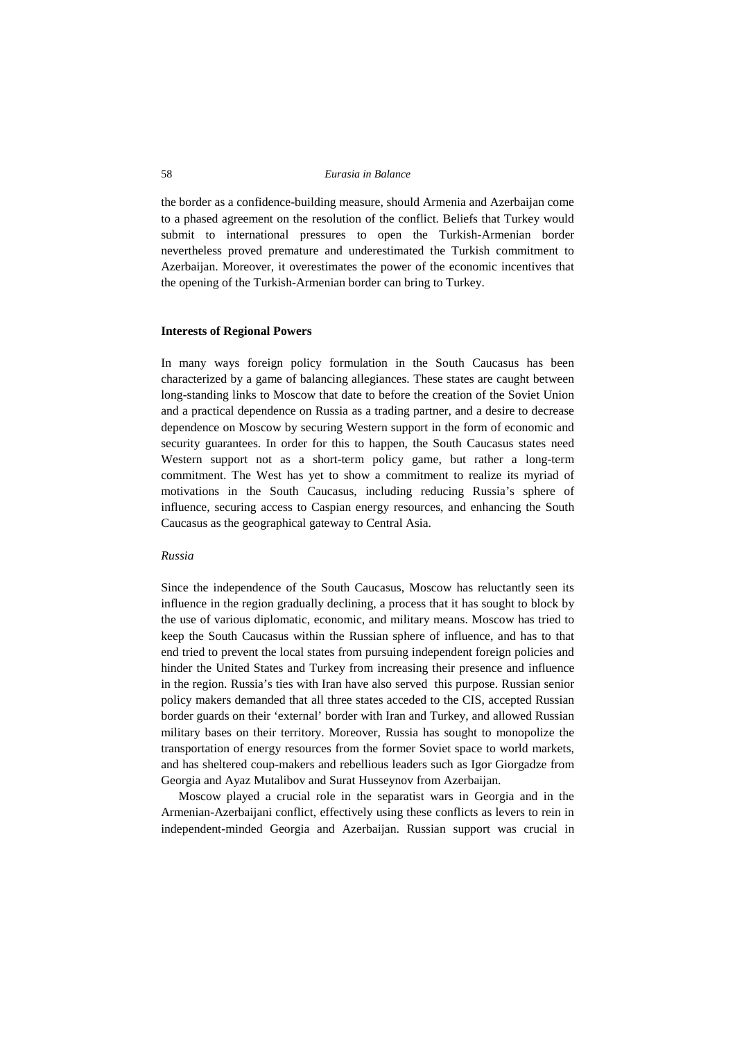the border as a confidence-building measure, should Armenia and Azerbaijan come to a phased agreement on the resolution of the conflict. Beliefs that Turkey would submit to international pressures to open the Turkish-Armenian border nevertheless proved premature and underestimated the Turkish commitment to Azerbaijan. Moreover, it overestimates the power of the economic incentives that the opening of the Turkish-Armenian border can bring to Turkey.

#### **Interests of Regional Powers**

In many ways foreign policy formulation in the South Caucasus has been characterized by a game of balancing allegiances. These states are caught between long-standing links to Moscow that date to before the creation of the Soviet Union and a practical dependence on Russia as a trading partner, and a desire to decrease dependence on Moscow by securing Western support in the form of economic and security guarantees. In order for this to happen, the South Caucasus states need Western support not as a short-term policy game, but rather a long-term commitment. The West has yet to show a commitment to realize its myriad of motivations in the South Caucasus, including reducing Russia's sphere of influence, securing access to Caspian energy resources, and enhancing the South Caucasus as the geographical gateway to Central Asia.

#### *Russia*

Since the independence of the South Caucasus, Moscow has reluctantly seen its influence in the region gradually declining, a process that it has sought to block by the use of various diplomatic, economic, and military means. Moscow has tried to keep the South Caucasus within the Russian sphere of influence, and has to that end tried to prevent the local states from pursuing independent foreign policies and hinder the United States and Turkey from increasing their presence and influence in the region. Russia's ties with Iran have also served this purpose. Russian senior policy makers demanded that all three states acceded to the CIS, accepted Russian border guards on their 'external' border with Iran and Turkey, and allowed Russian military bases on their territory. Moreover, Russia has sought to monopolize the transportation of energy resources from the former Soviet space to world markets, and has sheltered coup-makers and rebellious leaders such as Igor Giorgadze from Georgia and Ayaz Mutalibov and Surat Husseynov from Azerbaijan.

Moscow played a crucial role in the separatist wars in Georgia and in the Armenian-Azerbaijani conflict, effectively using these conflicts as levers to rein in independent-minded Georgia and Azerbaijan. Russian support was crucial in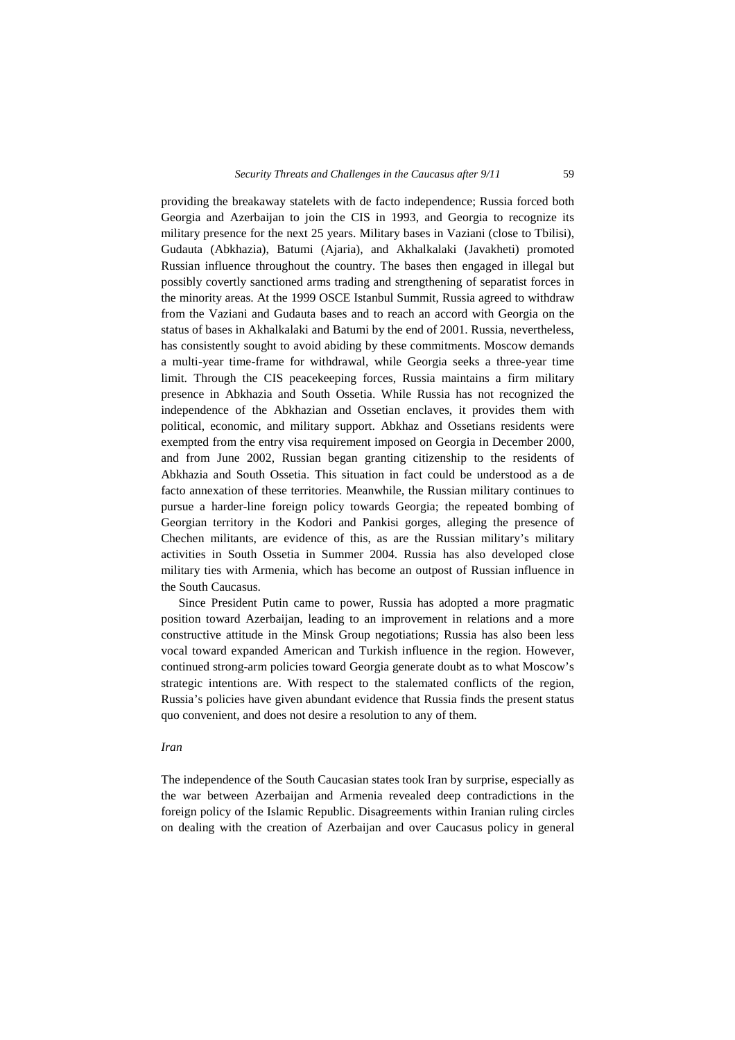providing the breakaway statelets with de facto independence; Russia forced both Georgia and Azerbaijan to join the CIS in 1993, and Georgia to recognize its military presence for the next 25 years. Military bases in Vaziani (close to Tbilisi), Gudauta (Abkhazia), Batumi (Ajaria), and Akhalkalaki (Javakheti) promoted Russian influence throughout the country. The bases then engaged in illegal but possibly covertly sanctioned arms trading and strengthening of separatist forces in the minority areas. At the 1999 OSCE Istanbul Summit, Russia agreed to withdraw from the Vaziani and Gudauta bases and to reach an accord with Georgia on the status of bases in Akhalkalaki and Batumi by the end of 2001. Russia, nevertheless, has consistently sought to avoid abiding by these commitments. Moscow demands a multi-year time-frame for withdrawal, while Georgia seeks a three-year time limit. Through the CIS peacekeeping forces, Russia maintains a firm military presence in Abkhazia and South Ossetia. While Russia has not recognized the independence of the Abkhazian and Ossetian enclaves, it provides them with political, economic, and military support. Abkhaz and Ossetians residents were exempted from the entry visa requirement imposed on Georgia in December 2000, and from June 2002, Russian began granting citizenship to the residents of Abkhazia and South Ossetia. This situation in fact could be understood as a de facto annexation of these territories. Meanwhile, the Russian military continues to pursue a harder-line foreign policy towards Georgia; the repeated bombing of Georgian territory in the Kodori and Pankisi gorges, alleging the presence of Chechen militants, are evidence of this, as are the Russian military's military activities in South Ossetia in Summer 2004. Russia has also developed close military ties with Armenia, which has become an outpost of Russian influence in the South Caucasus.

Since President Putin came to power, Russia has adopted a more pragmatic position toward Azerbaijan, leading to an improvement in relations and a more constructive attitude in the Minsk Group negotiations; Russia has also been less vocal toward expanded American and Turkish influence in the region. However, continued strong-arm policies toward Georgia generate doubt as to what Moscow's strategic intentions are. With respect to the stalemated conflicts of the region, Russia's policies have given abundant evidence that Russia finds the present status quo convenient, and does not desire a resolution to any of them.

#### *Iran*

The independence of the South Caucasian states took Iran by surprise, especially as the war between Azerbaijan and Armenia revealed deep contradictions in the foreign policy of the Islamic Republic. Disagreements within Iranian ruling circles on dealing with the creation of Azerbaijan and over Caucasus policy in general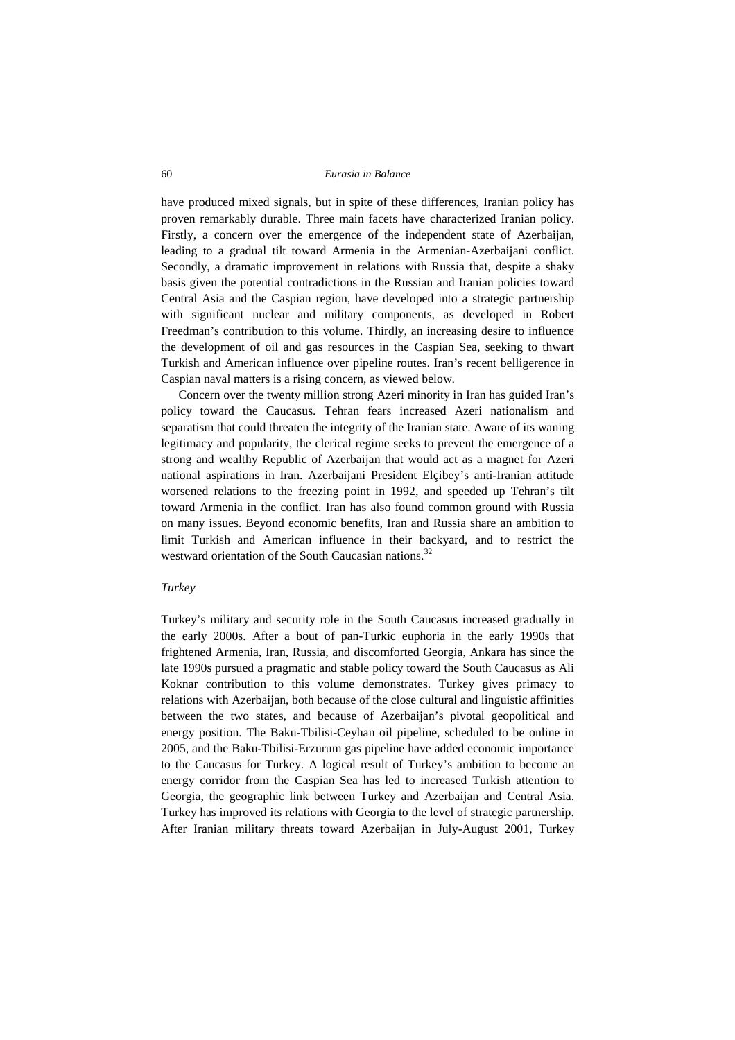have produced mixed signals, but in spite of these differences, Iranian policy has proven remarkably durable. Three main facets have characterized Iranian policy. Firstly, a concern over the emergence of the independent state of Azerbaijan, leading to a gradual tilt toward Armenia in the Armenian-Azerbaijani conflict. Secondly, a dramatic improvement in relations with Russia that, despite a shaky basis given the potential contradictions in the Russian and Iranian policies toward Central Asia and the Caspian region, have developed into a strategic partnership with significant nuclear and military components, as developed in Robert Freedman's contribution to this volume. Thirdly, an increasing desire to influence the development of oil and gas resources in the Caspian Sea, seeking to thwart Turkish and American influence over pipeline routes. Iran's recent belligerence in Caspian naval matters is a rising concern, as viewed below.

Concern over the twenty million strong Azeri minority in Iran has guided Iran's policy toward the Caucasus. Tehran fears increased Azeri nationalism and separatism that could threaten the integrity of the Iranian state. Aware of its waning legitimacy and popularity, the clerical regime seeks to prevent the emergence of a strong and wealthy Republic of Azerbaijan that would act as a magnet for Azeri national aspirations in Iran. Azerbaijani President Elçibey's anti-Iranian attitude worsened relations to the freezing point in 1992, and speeded up Tehran's tilt toward Armenia in the conflict. Iran has also found common ground with Russia on many issues. Beyond economic benefits, Iran and Russia share an ambition to limit Turkish and American influence in their backyard, and to restrict the westward orientation of the South Caucasian nations.<sup>32</sup>

#### *Turkey*

Turkey's military and security role in the South Caucasus increased gradually in the early 2000s. After a bout of pan-Turkic euphoria in the early 1990s that frightened Armenia, Iran, Russia, and discomforted Georgia, Ankara has since the late 1990s pursued a pragmatic and stable policy toward the South Caucasus as Ali Koknar contribution to this volume demonstrates. Turkey gives primacy to relations with Azerbaijan, both because of the close cultural and linguistic affinities between the two states, and because of Azerbaijan's pivotal geopolitical and energy position. The Baku-Tbilisi-Ceyhan oil pipeline, scheduled to be online in 2005, and the Baku-Tbilisi-Erzurum gas pipeline have added economic importance to the Caucasus for Turkey. A logical result of Turkey's ambition to become an energy corridor from the Caspian Sea has led to increased Turkish attention to Georgia, the geographic link between Turkey and Azerbaijan and Central Asia. Turkey has improved its relations with Georgia to the level of strategic partnership. After Iranian military threats toward Azerbaijan in July-August 2001, Turkey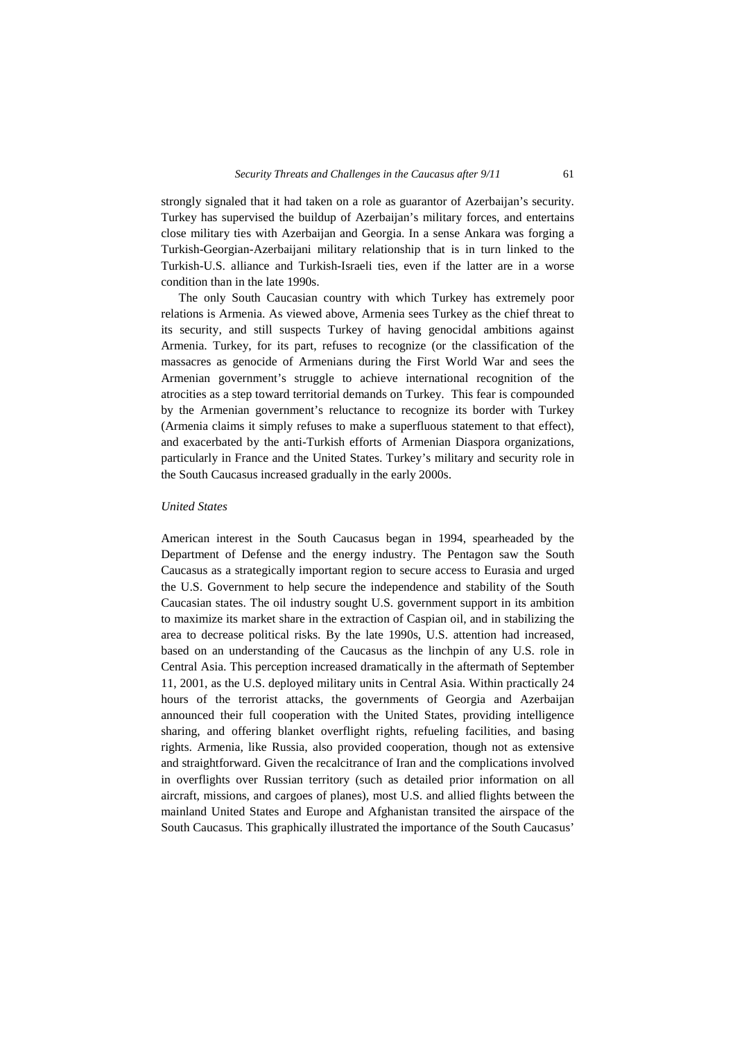strongly signaled that it had taken on a role as guarantor of Azerbaijan's security. Turkey has supervised the buildup of Azerbaijan's military forces, and entertains close military ties with Azerbaijan and Georgia. In a sense Ankara was forging a Turkish-Georgian-Azerbaijani military relationship that is in turn linked to the Turkish-U.S. alliance and Turkish-Israeli ties, even if the latter are in a worse condition than in the late 1990s.

The only South Caucasian country with which Turkey has extremely poor relations is Armenia. As viewed above, Armenia sees Turkey as the chief threat to its security, and still suspects Turkey of having genocidal ambitions against Armenia. Turkey, for its part, refuses to recognize (or the classification of the massacres as genocide of Armenians during the First World War and sees the Armenian government's struggle to achieve international recognition of the atrocities as a step toward territorial demands on Turkey. This fear is compounded by the Armenian government's reluctance to recognize its border with Turkey (Armenia claims it simply refuses to make a superfluous statement to that effect), and exacerbated by the anti-Turkish efforts of Armenian Diaspora organizations, particularly in France and the United States. Turkey's military and security role in the South Caucasus increased gradually in the early 2000s.

### *United States*

American interest in the South Caucasus began in 1994, spearheaded by the Department of Defense and the energy industry. The Pentagon saw the South Caucasus as a strategically important region to secure access to Eurasia and urged the U.S. Government to help secure the independence and stability of the South Caucasian states. The oil industry sought U.S. government support in its ambition to maximize its market share in the extraction of Caspian oil, and in stabilizing the area to decrease political risks. By the late 1990s, U.S. attention had increased, based on an understanding of the Caucasus as the linchpin of any U.S. role in Central Asia. This perception increased dramatically in the aftermath of September 11, 2001, as the U.S. deployed military units in Central Asia. Within practically 24 hours of the terrorist attacks, the governments of Georgia and Azerbaijan announced their full cooperation with the United States, providing intelligence sharing, and offering blanket overflight rights, refueling facilities, and basing rights. Armenia, like Russia, also provided cooperation, though not as extensive and straightforward. Given the recalcitrance of Iran and the complications involved in overflights over Russian territory (such as detailed prior information on all aircraft, missions, and cargoes of planes), most U.S. and allied flights between the mainland United States and Europe and Afghanistan transited the airspace of the South Caucasus. This graphically illustrated the importance of the South Caucasus'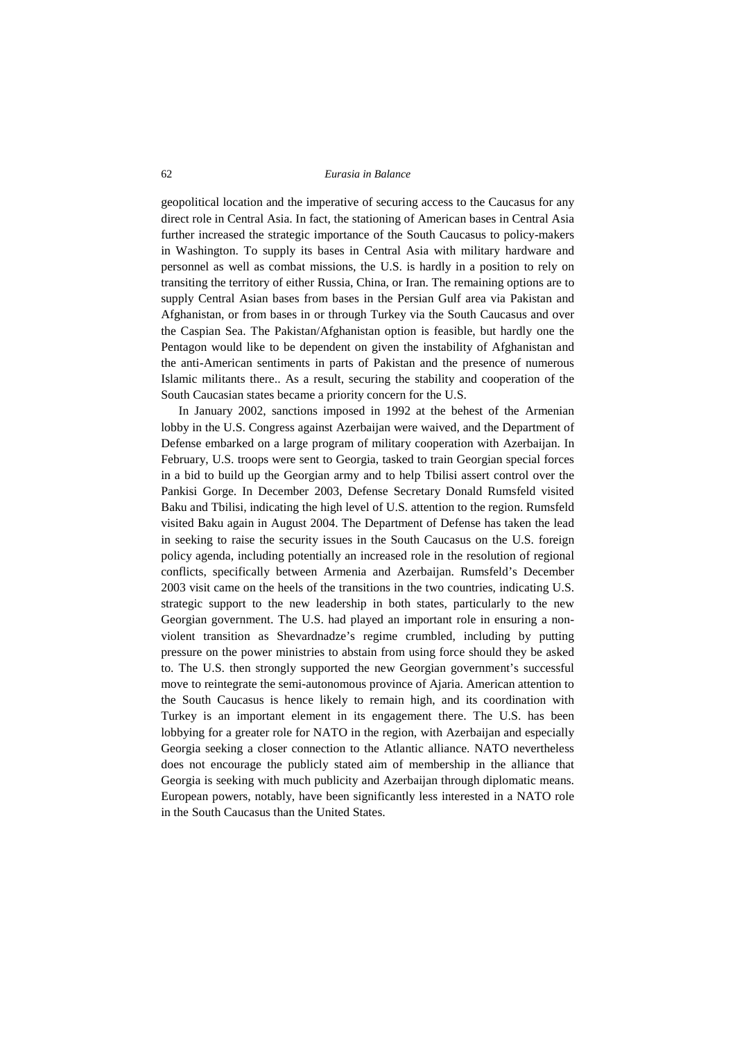geopolitical location and the imperative of securing access to the Caucasus for any direct role in Central Asia. In fact, the stationing of American bases in Central Asia further increased the strategic importance of the South Caucasus to policy-makers in Washington. To supply its bases in Central Asia with military hardware and personnel as well as combat missions, the U.S. is hardly in a position to rely on transiting the territory of either Russia, China, or Iran. The remaining options are to supply Central Asian bases from bases in the Persian Gulf area via Pakistan and Afghanistan, or from bases in or through Turkey via the South Caucasus and over the Caspian Sea. The Pakistan/Afghanistan option is feasible, but hardly one the Pentagon would like to be dependent on given the instability of Afghanistan and the anti-American sentiments in parts of Pakistan and the presence of numerous Islamic militants there.. As a result, securing the stability and cooperation of the South Caucasian states became a priority concern for the U.S.

In January 2002, sanctions imposed in 1992 at the behest of the Armenian lobby in the U.S. Congress against Azerbaijan were waived, and the Department of Defense embarked on a large program of military cooperation with Azerbaijan. In February, U.S. troops were sent to Georgia, tasked to train Georgian special forces in a bid to build up the Georgian army and to help Tbilisi assert control over the Pankisi Gorge. In December 2003, Defense Secretary Donald Rumsfeld visited Baku and Tbilisi, indicating the high level of U.S. attention to the region. Rumsfeld visited Baku again in August 2004. The Department of Defense has taken the lead in seeking to raise the security issues in the South Caucasus on the U.S. foreign policy agenda, including potentially an increased role in the resolution of regional conflicts, specifically between Armenia and Azerbaijan. Rumsfeld's December 2003 visit came on the heels of the transitions in the two countries, indicating U.S. strategic support to the new leadership in both states, particularly to the new Georgian government. The U.S. had played an important role in ensuring a nonviolent transition as Shevardnadze's regime crumbled, including by putting pressure on the power ministries to abstain from using force should they be asked to. The U.S. then strongly supported the new Georgian government's successful move to reintegrate the semi-autonomous province of Ajaria. American attention to the South Caucasus is hence likely to remain high, and its coordination with Turkey is an important element in its engagement there. The U.S. has been lobbying for a greater role for NATO in the region, with Azerbaijan and especially Georgia seeking a closer connection to the Atlantic alliance. NATO nevertheless does not encourage the publicly stated aim of membership in the alliance that Georgia is seeking with much publicity and Azerbaijan through diplomatic means. European powers, notably, have been significantly less interested in a NATO role in the South Caucasus than the United States.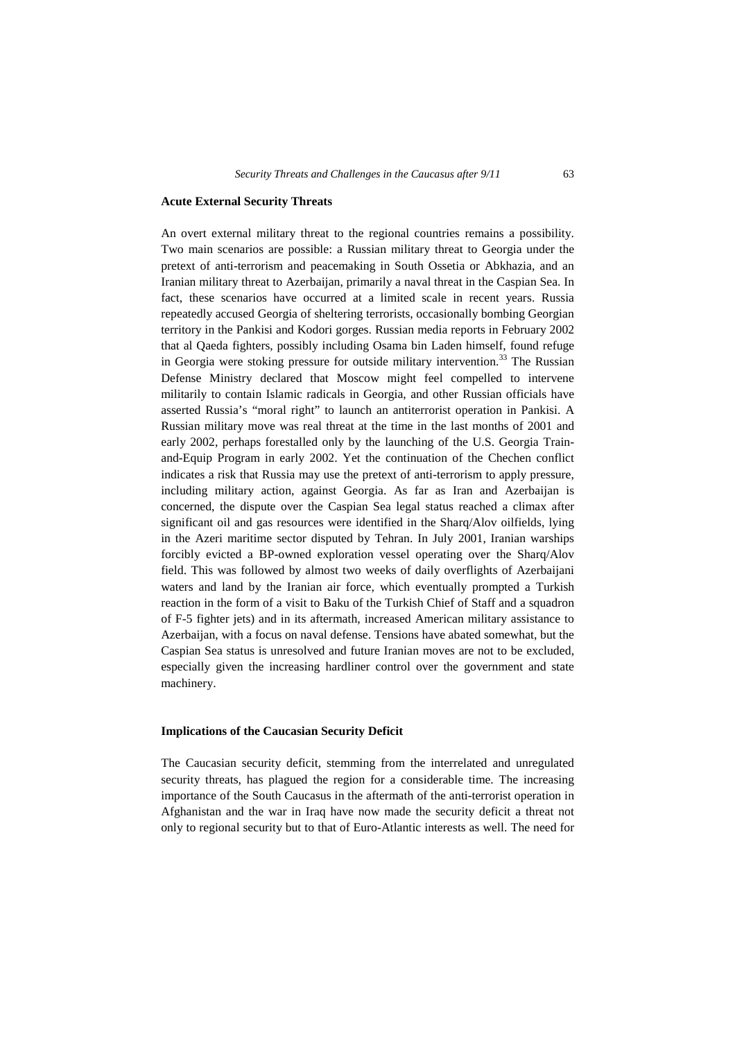#### **Acute External Security Threats**

An overt external military threat to the regional countries remains a possibility. Two main scenarios are possible: a Russian military threat to Georgia under the pretext of anti-terrorism and peacemaking in South Ossetia or Abkhazia, and an Iranian military threat to Azerbaijan, primarily a naval threat in the Caspian Sea. In fact, these scenarios have occurred at a limited scale in recent years. Russia repeatedly accused Georgia of sheltering terrorists, occasionally bombing Georgian territory in the Pankisi and Kodori gorges. Russian media reports in February 2002 that al Qaeda fighters, possibly including Osama bin Laden himself, found refuge in Georgia were stoking pressure for outside military intervention.<sup>33</sup> The Russian Defense Ministry declared that Moscow might feel compelled to intervene militarily to contain Islamic radicals in Georgia, and other Russian officials have asserted Russia's "moral right" to launch an antiterrorist operation in Pankisi. A Russian military move was real threat at the time in the last months of 2001 and early 2002, perhaps forestalled only by the launching of the U.S. Georgia Trainand-Equip Program in early 2002. Yet the continuation of the Chechen conflict indicates a risk that Russia may use the pretext of anti-terrorism to apply pressure, including military action, against Georgia. As far as Iran and Azerbaijan is concerned, the dispute over the Caspian Sea legal status reached a climax after significant oil and gas resources were identified in the Sharq/Alov oilfields, lying in the Azeri maritime sector disputed by Tehran. In July 2001, Iranian warships forcibly evicted a BP-owned exploration vessel operating over the Sharq/Alov field. This was followed by almost two weeks of daily overflights of Azerbaijani waters and land by the Iranian air force, which eventually prompted a Turkish reaction in the form of a visit to Baku of the Turkish Chief of Staff and a squadron of F-5 fighter jets) and in its aftermath, increased American military assistance to Azerbaijan, with a focus on naval defense. Tensions have abated somewhat, but the Caspian Sea status is unresolved and future Iranian moves are not to be excluded, especially given the increasing hardliner control over the government and state machinery.

#### **Implications of the Caucasian Security Deficit**

The Caucasian security deficit, stemming from the interrelated and unregulated security threats, has plagued the region for a considerable time. The increasing importance of the South Caucasus in the aftermath of the anti-terrorist operation in Afghanistan and the war in Iraq have now made the security deficit a threat not only to regional security but to that of Euro-Atlantic interests as well. The need for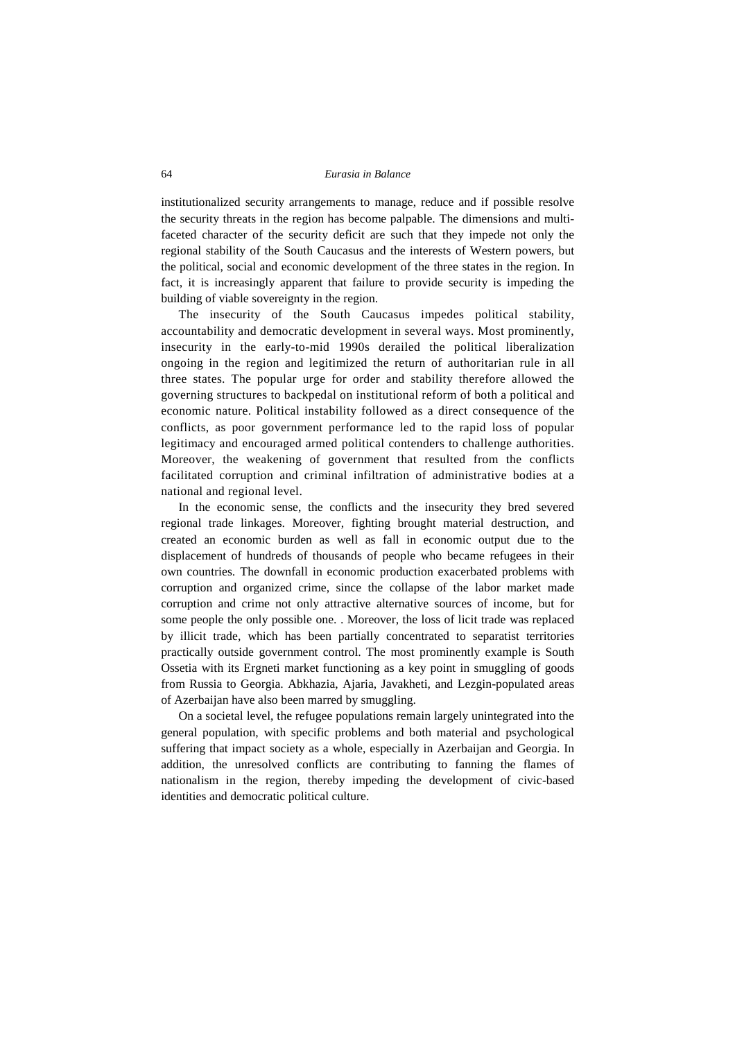institutionalized security arrangements to manage, reduce and if possible resolve the security threats in the region has become palpable. The dimensions and multifaceted character of the security deficit are such that they impede not only the regional stability of the South Caucasus and the interests of Western powers, but the political, social and economic development of the three states in the region. In fact, it is increasingly apparent that failure to provide security is impeding the building of viable sovereignty in the region.

The insecurity of the South Caucasus impedes political stability, accountability and democratic development in several ways. Most prominently, insecurity in the early-to-mid 1990s derailed the political liberalization ongoing in the region and legitimized the return of authoritarian rule in all three states. The popular urge for order and stability therefore allowed the governing structures to backpedal on institutional reform of both a political and economic nature. Political instability followed as a direct consequence of the conflicts, as poor government performance led to the rapid loss of popular legitimacy and encouraged armed political contenders to challenge authorities. Moreover, the weakening of government that resulted from the conflicts facilitated corruption and criminal infiltration of administrative bodies at a national and regional level.

In the economic sense, the conflicts and the insecurity they bred severed regional trade linkages. Moreover, fighting brought material destruction, and created an economic burden as well as fall in economic output due to the displacement of hundreds of thousands of people who became refugees in their own countries. The downfall in economic production exacerbated problems with corruption and organized crime, since the collapse of the labor market made corruption and crime not only attractive alternative sources of income, but for some people the only possible one. . Moreover, the loss of licit trade was replaced by illicit trade, which has been partially concentrated to separatist territories practically outside government control. The most prominently example is South Ossetia with its Ergneti market functioning as a key point in smuggling of goods from Russia to Georgia. Abkhazia, Ajaria, Javakheti, and Lezgin-populated areas of Azerbaijan have also been marred by smuggling.

On a societal level, the refugee populations remain largely unintegrated into the general population, with specific problems and both material and psychological suffering that impact society as a whole, especially in Azerbaijan and Georgia. In addition, the unresolved conflicts are contributing to fanning the flames of nationalism in the region, thereby impeding the development of civic-based identities and democratic political culture.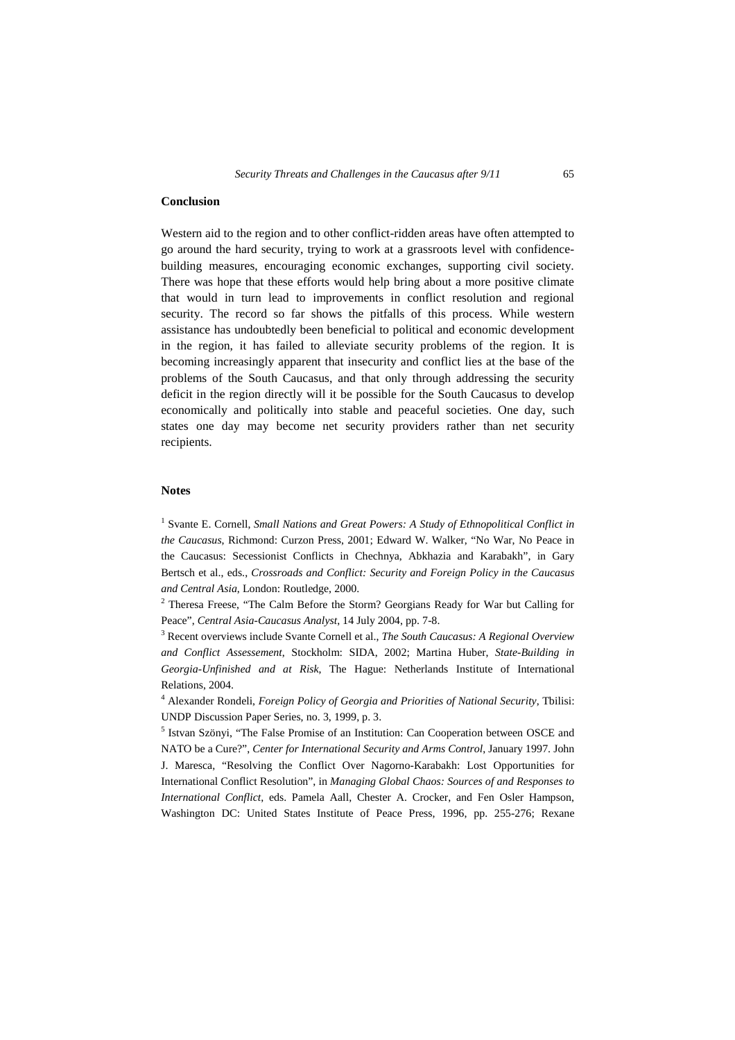# **Conclusion**

Western aid to the region and to other conflict-ridden areas have often attempted to go around the hard security, trying to work at a grassroots level with confidencebuilding measures, encouraging economic exchanges, supporting civil society. There was hope that these efforts would help bring about a more positive climate that would in turn lead to improvements in conflict resolution and regional security. The record so far shows the pitfalls of this process. While western assistance has undoubtedly been beneficial to political and economic development in the region, it has failed to alleviate security problems of the region. It is becoming increasingly apparent that insecurity and conflict lies at the base of the problems of the South Caucasus, and that only through addressing the security deficit in the region directly will it be possible for the South Caucasus to develop economically and politically into stable and peaceful societies. One day, such states one day may become net security providers rather than net security recipients.

#### **Notes**

<sup>1</sup> Svante E. Cornell, *Small Nations and Great Powers: A Study of Ethnopolitical Conflict in the Caucasus*, Richmond: Curzon Press, 2001; Edward W. Walker, "No War, No Peace in the Caucasus: Secessionist Conflicts in Chechnya, Abkhazia and Karabakh", in Gary Bertsch et al., eds., *Crossroads and Conflict: Security and Foreign Policy in the Caucasus and Central Asia*, London: Routledge, 2000.

<sup>2</sup> Theresa Freese, "The Calm Before the Storm? Georgians Ready for War but Calling for Peace", *Central Asia-Caucasus Analyst*, 14 July 2004, pp. 7-8.

3 Recent overviews include Svante Cornell et al., *The South Caucasus: A Regional Overview and Conflict Assessement*, Stockholm: SIDA, 2002; Martina Huber, *State-Building in Georgia-Unfinished and at Risk*, The Hague: Netherlands Institute of International Relations, 2004.

4 Alexander Rondeli, *Foreign Policy of Georgia and Priorities of National Security*, Tbilisi: UNDP Discussion Paper Series, no. 3, 1999, p. 3.

<sup>5</sup> Istvan Szönyi, "The False Promise of an Institution: Can Cooperation between OSCE and NATO be a Cure?", *Center for International Security and Arms Control*, January 1997. John J. Maresca, "Resolving the Conflict Over Nagorno-Karabakh: Lost Opportunities for International Conflict Resolution", in *Managing Global Chaos: Sources of and Responses to International Conflict*, eds. Pamela Aall, Chester A. Crocker, and Fen Osler Hampson, Washington DC: United States Institute of Peace Press, 1996, pp. 255-276; Rexane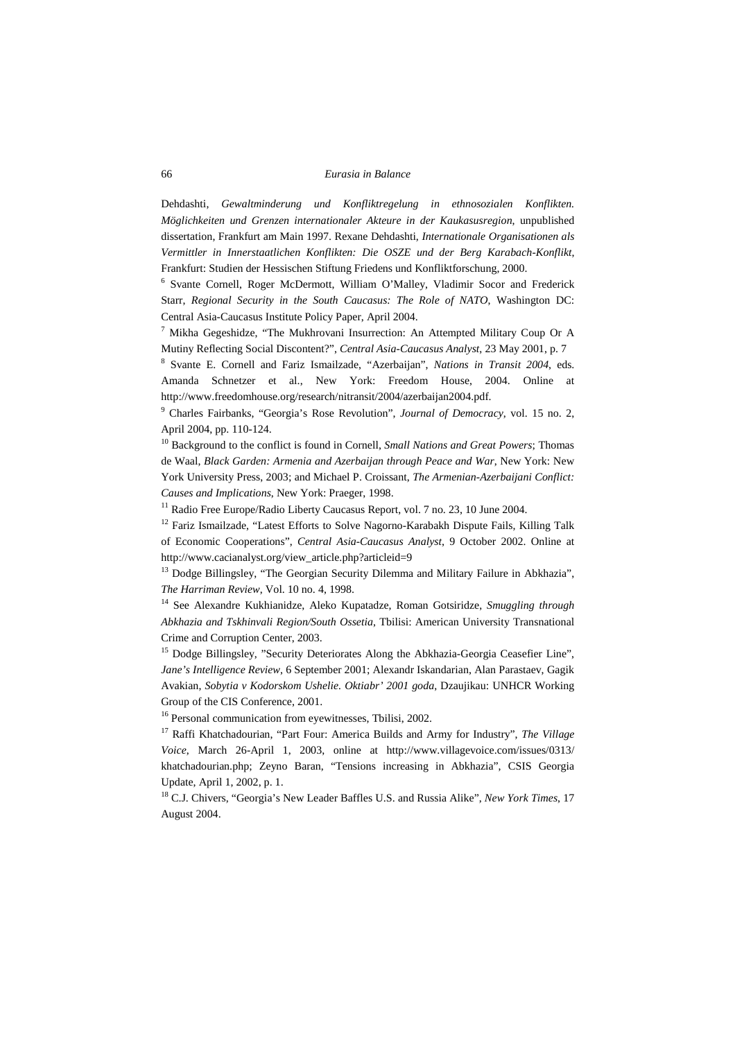Dehdashti, *Gewaltminderung und Konfliktregelung in ethnosozialen Konflikten. Möglichkeiten und Grenzen internationaler Akteure in der Kaukasusregion*, unpublished dissertation, Frankfurt am Main 1997. Rexane Dehdashti, *Internationale Organisationen als Vermittler in Innerstaatlichen Konflikten: Die OSZE und der Berg Karabach-Konflikt*, Frankfurt: Studien der Hessischen Stiftung Friedens und Konfliktforschung, 2000.

6 Svante Cornell, Roger McDermott, William O'Malley, Vladimir Socor and Frederick Starr, *Regional Security in the South Caucasus: The Role of NATO*, Washington DC: Central Asia-Caucasus Institute Policy Paper, April 2004.

<sup>7</sup> Mikha Gegeshidze, "The Mukhrovani Insurrection: An Attempted Military Coup Or A Mutiny Reflecting Social Discontent?", *Central Asia-Caucasus Analyst*, 23 May 2001, p. 7

8 Svante E. Cornell and Fariz Ismailzade, "Azerbaijan", *Nations in Transit 2004*, eds. Amanda Schnetzer et al., New York: Freedom House, 2004. Online at http://www.freedomhouse.org/research/nitransit/2004/azerbaijan2004.pdf.

9 Charles Fairbanks, "Georgia's Rose Revolution", *Journal of Democracy*, vol. 15 no. 2, April 2004, pp. 110-124.

10 Background to the conflict is found in Cornell, *Small Nations and Great Powers*; Thomas de Waal, *Black Garden: Armenia and Azerbaijan through Peace and War*, New York: New York University Press, 2003; and Michael P. Croissant, *The Armenian-Azerbaijani Conflict: Causes and Implications*, New York: Praeger, 1998.

<sup>11</sup> Radio Free Europe/Radio Liberty Caucasus Report, vol. 7 no. 23, 10 June 2004.

<sup>12</sup> Fariz Ismailzade, "Latest Efforts to Solve Nagorno-Karabakh Dispute Fails, Killing Talk of Economic Cooperations", *Central Asia-Caucasus Analyst*, 9 October 2002. Online at http://www.cacianalyst.org/view\_article.php?articleid=9

 $13$  Dodge Billingsley, "The Georgian Security Dilemma and Military Failure in Abkhazia", *The Harriman Review*, Vol. 10 no. 4, 1998.

14 See Alexandre Kukhianidze, Aleko Kupatadze, Roman Gotsiridze, *Smuggling through Abkhazia and Tskhinvali Region/South Ossetia*, Tbilisi: American University Transnational Crime and Corruption Center, 2003.

<sup>15</sup> Dodge Billingsley, "Security Deteriorates Along the Abkhazia-Georgia Ceasefier Line", *Jane's Intelligence Review*, 6 September 2001; Alexandr Iskandarian, Alan Parastaev, Gagik Avakian, *Sobytia v Kodorskom Ushelie. Oktiabr' 2001 goda*, Dzaujikau: UNHCR Working Group of the CIS Conference, 2001.

16 Personal communication from eyewitnesses, Tbilisi, 2002.

17 Raffi Khatchadourian, "Part Four: America Builds and Army for Industry", *The Village Voice*, March 26-April 1, 2003, online at http://www.villagevoice.com/issues/0313/ khatchadourian.php; Zeyno Baran, "Tensions increasing in Abkhazia", CSIS Georgia Update, April 1, 2002, p. 1.

18 C.J. Chivers, "Georgia's New Leader Baffles U.S. and Russia Alike", *New York Times*, 17 August 2004.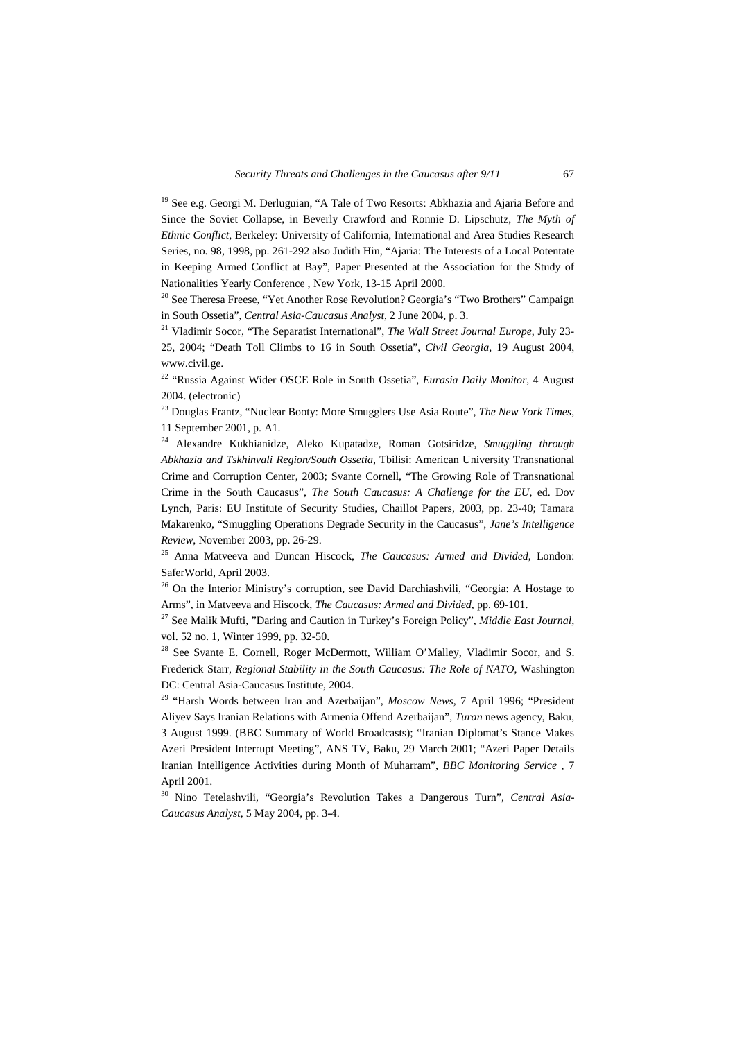<sup>19</sup> See e.g. Georgi M. Derluguian, "A Tale of Two Resorts: Abkhazia and Ajaria Before and Since the Soviet Collapse, in Beverly Crawford and Ronnie D. Lipschutz, *The Myth of Ethnic Conflict*, Berkeley: University of California, International and Area Studies Research Series, no. 98, 1998, pp. 261-292 also Judith Hin, "Ajaria: The Interests of a Local Potentate in Keeping Armed Conflict at Bay", Paper Presented at the Association for the Study of Nationalities Yearly Conference , New York, 13-15 April 2000.

 $20$  See Theresa Freese, "Yet Another Rose Revolution? Georgia's "Two Brothers" Campaign in South Ossetia", *Central Asia-Caucasus Analyst*, 2 June 2004, p. 3.

21 Vladimir Socor, "The Separatist International", *The Wall Street Journal Europe*, July 23- 25, 2004; "Death Toll Climbs to 16 in South Ossetia", *Civil Georgia*, 19 August 2004, www.civil.ge.

22 "Russia Against Wider OSCE Role in South Ossetia", *Eurasia Daily Monitor*, 4 August 2004. (electronic)

23 Douglas Frantz, "Nuclear Booty: More Smugglers Use Asia Route", *The New York Times*, 11 September 2001, p. A1.

24 Alexandre Kukhianidze, Aleko Kupatadze, Roman Gotsiridze, *Smuggling through Abkhazia and Tskhinvali Region/South Ossetia*, Tbilisi: American University Transnational Crime and Corruption Center, 2003; Svante Cornell, "The Growing Role of Transnational Crime in the South Caucasus", *The South Caucasus: A Challenge for the EU*, ed. Dov Lynch, Paris: EU Institute of Security Studies, Chaillot Papers, 2003, pp. 23-40; Tamara Makarenko, "Smuggling Operations Degrade Security in the Caucasus", *Jane's Intelligence Review*, November 2003, pp. 26-29.

25 Anna Matveeva and Duncan Hiscock, *The Caucasus: Armed and Divided*, London: SaferWorld, April 2003.

<sup>26</sup> On the Interior Ministry's corruption, see David Darchiashvili, "Georgia: A Hostage to Arms", in Matveeva and Hiscock, *The Caucasus: Armed and Divided*, pp. 69-101.

27 See Malik Mufti, "Daring and Caution in Turkey's Foreign Policy", *Middle East Journal,*  vol. 52 no. 1, Winter 1999, pp. 32-50.

<sup>28</sup> See Svante E. Cornell, Roger McDermott, William O'Malley, Vladimir Socor, and S. Frederick Starr, *Regional Stability in the South Caucasus: The Role of NATO*, Washington DC: Central Asia-Caucasus Institute, 2004.

29 "Harsh Words between Iran and Azerbaijan", *Moscow News*, 7 April 1996; "President Aliyev Says Iranian Relations with Armenia Offend Azerbaijan", *Turan* news agency, Baku, 3 August 1999. (BBC Summary of World Broadcasts); "Iranian Diplomat's Stance Makes Azeri President Interrupt Meeting", ANS TV, Baku, 29 March 2001; "Azeri Paper Details Iranian Intelligence Activities during Month of Muharram", *BBC Monitoring Service* , 7 April 2001.

30 Nino Tetelashvili, "Georgia's Revolution Takes a Dangerous Turn", *Central Asia-Caucasus Analyst*, 5 May 2004, pp. 3-4.